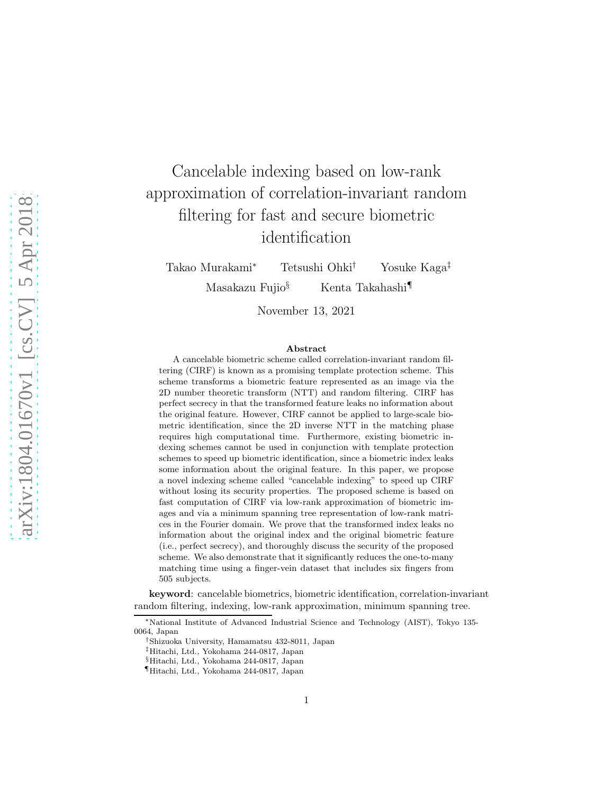# Cancelable indexing based on low-rank approximation of correlation-invariant random filtering for fast and secure biometric identification

Takao Murakami<sup>∗</sup> Tetsushi Ohki† Yosuke Kaga‡ Masakazu Fujio§ Kenta Takahashi¶

November 13, 2021

#### Abstract

A cancelable biometric scheme called correlation-invariant random filtering (CIRF) is known as a promising template protection scheme. This scheme transforms a biometric feature represented as an image via the 2D number theoretic transform (NTT) and random filtering. CIRF has perfect secrecy in that the transformed feature leaks no information about the original feature. However, CIRF cannot be applied to large-scale biometric identification, since the 2D inverse NTT in the matching phase requires high computational time. Furthermore, existing biometric indexing schemes cannot be used in conjunction with template protection schemes to speed up biometric identification, since a biometric index leaks some information about the original feature. In this paper, we propose a novel indexing scheme called "cancelable indexing" to speed up CIRF without losing its security properties. The proposed scheme is based on fast computation of CIRF via low-rank approximation of biometric images and via a minimum spanning tree representation of low-rank matrices in the Fourier domain. We prove that the transformed index leaks no information about the original index and the original biometric feature (i.e., perfect secrecy), and thoroughly discuss the security of the proposed scheme. We also demonstrate that it significantly reduces the one-to-many matching time using a finger-vein dataset that includes six fingers from 505 subjects.

keyword: cancelable biometrics, biometric identification, correlation-invariant random filtering, indexing, low-rank approximation, minimum spanning tree.

<sup>∗</sup>National Institute of Advanced Industrial Science and Technology (AIST), Tokyo 135- 0064, Japan

<sup>†</sup>Shizuoka University, Hamamatsu 432-8011, Japan

<sup>‡</sup>Hitachi, Ltd., Yokohama 244-0817, Japan

<sup>§</sup>Hitachi, Ltd., Yokohama 244-0817, Japan

<sup>¶</sup>Hitachi, Ltd., Yokohama 244-0817, Japan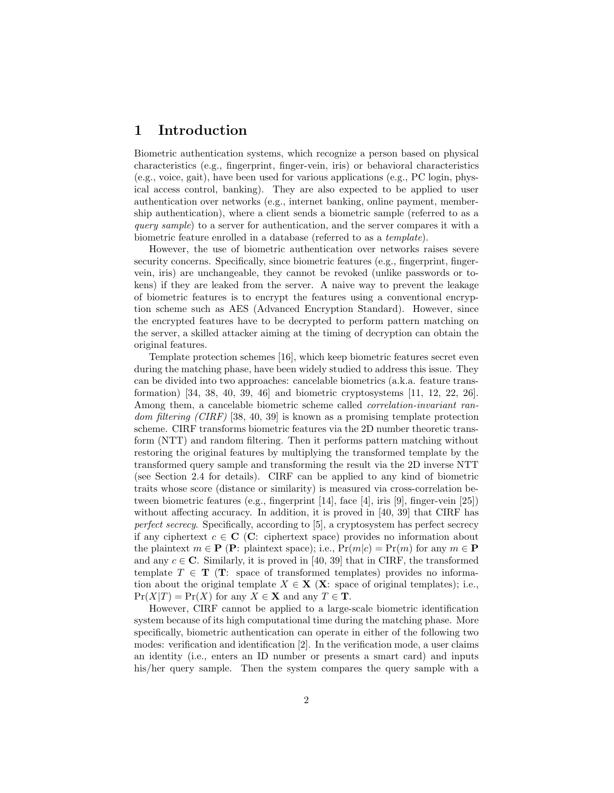### 1 Introduction

Biometric authentication systems, which recognize a person based on physical characteristics (e.g., fingerprint, finger-vein, iris) or behavioral characteristics (e.g., voice, gait), have been used for various applications (e.g., PC login, physical access control, banking). They are also expected to be applied to user authentication over networks (e.g., internet banking, online payment, membership authentication), where a client sends a biometric sample (referred to as a *query sample*) to a server for authentication, and the server compares it with a biometric feature enrolled in a database (referred to as a *template*).

However, the use of biometric authentication over networks raises severe security concerns. Specifically, since biometric features (e.g., fingerprint, fingervein, iris) are unchangeable, they cannot be revoked (unlike passwords or tokens) if they are leaked from the server. A naive way to prevent the leakage of biometric features is to encrypt the features using a conventional encryption scheme such as AES (Advanced Encryption Standard). However, since the encrypted features have to be decrypted to perform pattern matching on the server, a skilled attacker aiming at the timing of decryption can obtain the original features.

Template protection schemes [16], which keep biometric features secret even during the matching phase, have been widely studied to address this issue. They can be divided into two approaches: cancelable biometrics (a.k.a. feature transformation) [34, 38, 40, 39, 46] and biometric cryptosystems [11, 12, 22, 26]. Among them, a cancelable biometric scheme called *correlation-invariant random filtering (CIRF)* [38, 40, 39] is known as a promising template protection scheme. CIRF transforms biometric features via the 2D number theoretic transform (NTT) and random filtering. Then it performs pattern matching without restoring the original features by multiplying the transformed template by the transformed query sample and transforming the result via the 2D inverse NTT (see Section 2.4 for details). CIRF can be applied to any kind of biometric traits whose score (distance or similarity) is measured via cross-correlation between biometric features (e.g., fingerprint [14], face [4], iris [9], finger-vein [25]) without affecting accuracy. In addition, it is proved in [40, 39] that CIRF has *perfect secrecy*. Specifically, according to [5], a cryptosystem has perfect secrecy if any ciphertext  $c \in \mathbb{C}$  (C: ciphertext space) provides no information about the plaintext  $m \in \mathbf{P}$  (**P**: plaintext space); i.e.,  $Pr(m|c) = Pr(m)$  for any  $m \in \mathbf{P}$ and any  $c \in \mathbb{C}$ . Similarly, it is proved in [40, 39] that in CIRF, the transformed template  $T \in \mathbf{T}$  (**T**: space of transformed templates) provides no information about the original template  $X \in \mathbf{X}$  (**X**: space of original templates); i.e.,  $Pr(X|T) = Pr(X)$  for any  $X \in \mathbf{X}$  and any  $T \in \mathbf{T}$ .

However, CIRF cannot be applied to a large-scale biometric identification system because of its high computational time during the matching phase. More specifically, biometric authentication can operate in either of the following two modes: verification and identification [2]. In the verification mode, a user claims an identity (i.e., enters an ID number or presents a smart card) and inputs his/her query sample. Then the system compares the query sample with a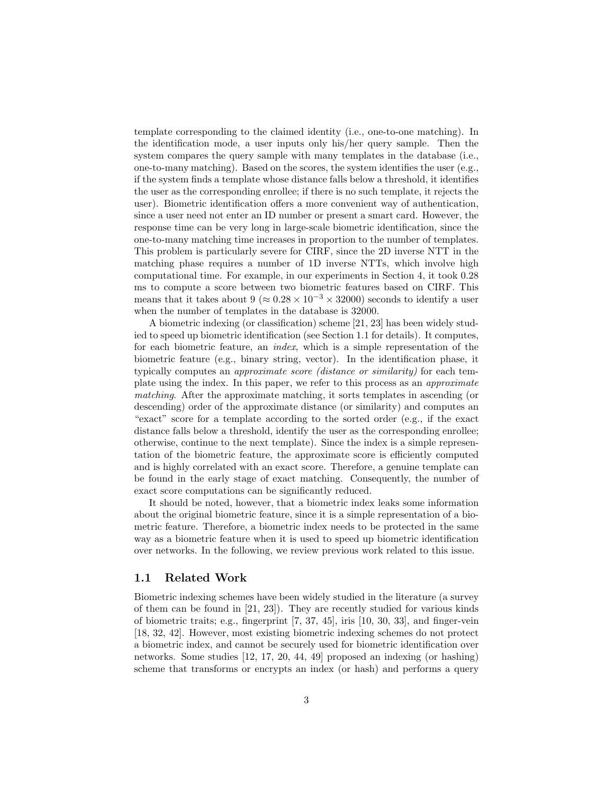template corresponding to the claimed identity (i.e., one-to-one matching). In the identification mode, a user inputs only his/her query sample. Then the system compares the query sample with many templates in the database (i.e., one-to-many matching). Based on the scores, the system identifies the user (e.g., if the system finds a template whose distance falls below a threshold, it identifies the user as the corresponding enrollee; if there is no such template, it rejects the user). Biometric identification offers a more convenient way of authentication, since a user need not enter an ID number or present a smart card. However, the response time can be very long in large-scale biometric identification, since the one-to-many matching time increases in proportion to the number of templates. This problem is particularly severe for CIRF, since the 2D inverse NTT in the matching phase requires a number of 1D inverse NTTs, which involve high computational time. For example, in our experiments in Section 4, it took 0.28 ms to compute a score between two biometric features based on CIRF. This means that it takes about 9 ( $\approx 0.28 \times 10^{-3} \times 32000$ ) seconds to identify a user when the number of templates in the database is 32000.

A biometric indexing (or classification) scheme [21, 23] has been widely studied to speed up biometric identification (see Section 1.1 for details). It computes, for each biometric feature, an *index*, which is a simple representation of the biometric feature (e.g., binary string, vector). In the identification phase, it typically computes an *approximate score (distance or similarity)* for each template using the index. In this paper, we refer to this process as an *approximate matching*. After the approximate matching, it sorts templates in ascending (or descending) order of the approximate distance (or similarity) and computes an "exact" score for a template according to the sorted order (e.g., if the exact distance falls below a threshold, identify the user as the corresponding enrollee; otherwise, continue to the next template). Since the index is a simple representation of the biometric feature, the approximate score is efficiently computed and is highly correlated with an exact score. Therefore, a genuine template can be found in the early stage of exact matching. Consequently, the number of exact score computations can be significantly reduced.

It should be noted, however, that a biometric index leaks some information about the original biometric feature, since it is a simple representation of a biometric feature. Therefore, a biometric index needs to be protected in the same way as a biometric feature when it is used to speed up biometric identification over networks. In the following, we review previous work related to this issue.

### 1.1 Related Work

Biometric indexing schemes have been widely studied in the literature (a survey of them can be found in [21, 23]). They are recently studied for various kinds of biometric traits; e.g., fingerprint [7, 37, 45], iris [10, 30, 33], and finger-vein [18, 32, 42]. However, most existing biometric indexing schemes do not protect a biometric index, and cannot be securely used for biometric identification over networks. Some studies [12, 17, 20, 44, 49] proposed an indexing (or hashing) scheme that transforms or encrypts an index (or hash) and performs a query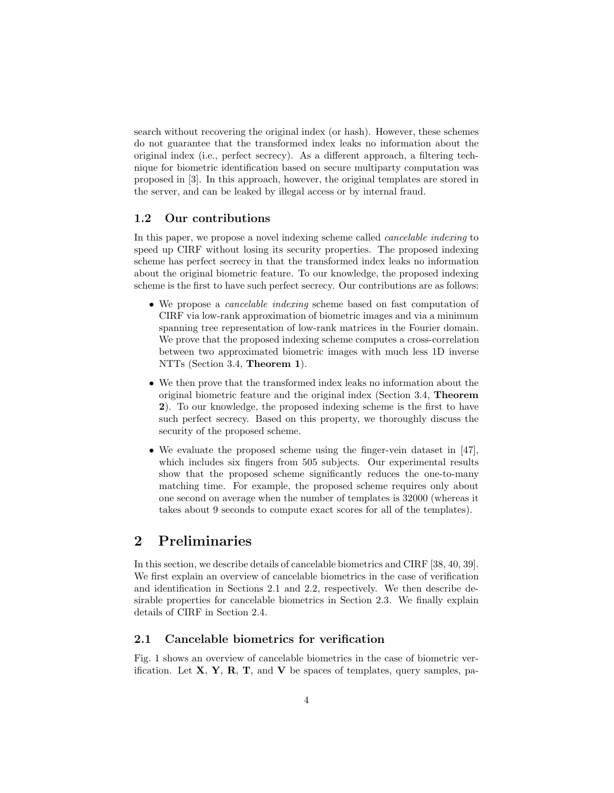search without recovering the original index (or hash). However, these schemes do not guarantee that the transformed index leaks no information about the original index (i.e., perfect secrecy). As a different approach, a filtering technique for biometric identification based on secure multiparty computation was proposed in [3]. In this approach, however, the original templates are stored in the server, and can be leaked by illegal access or by internal fraud.

### 1.2 Our contributions

In this paper, we propose a novel indexing scheme called *cancelable indexing* to speed up CIRF without losing its security properties. The proposed indexing scheme has perfect secrecy in that the transformed index leaks no information about the original biometric feature. To our knowledge, the proposed indexing scheme is the first to have such perfect secrecy. Our contributions are as follows:

- We propose a *cancelable indexing* scheme based on fast computation of CIRF via low-rank approximation of biometric images and via a minimum spanning tree representation of low-rank matrices in the Fourier domain. We prove that the proposed indexing scheme computes a cross-correlation between two approximated biometric images with much less 1D inverse NTTs (Section 3.4, Theorem 1).
- We then prove that the transformed index leaks no information about the original biometric feature and the original index (Section 3.4, Theorem 2). To our knowledge, the proposed indexing scheme is the first to have such perfect secrecy. Based on this property, we thoroughly discuss the security of the proposed scheme.
- We evaluate the proposed scheme using the finger-vein dataset in [47], which includes six fingers from 505 subjects. Our experimental results show that the proposed scheme significantly reduces the one-to-many matching time. For example, the proposed scheme requires only about one second on average when the number of templates is 32000 (whereas it takes about 9 seconds to compute exact scores for all of the templates).

### 2 Preliminaries

In this section, we describe details of cancelable biometrics and CIRF [38, 40, 39]. We first explain an overview of cancelable biometrics in the case of verification and identification in Sections 2.1 and 2.2, respectively. We then describe desirable properties for cancelable biometrics in Section 2.3. We finally explain details of CIRF in Section 2.4.

### 2.1 Cancelable biometrics for verification

Fig. 1 shows an overview of cancelable biometrics in the case of biometric verification. Let  $X, Y, R, T$ , and V be spaces of templates, query samples, pa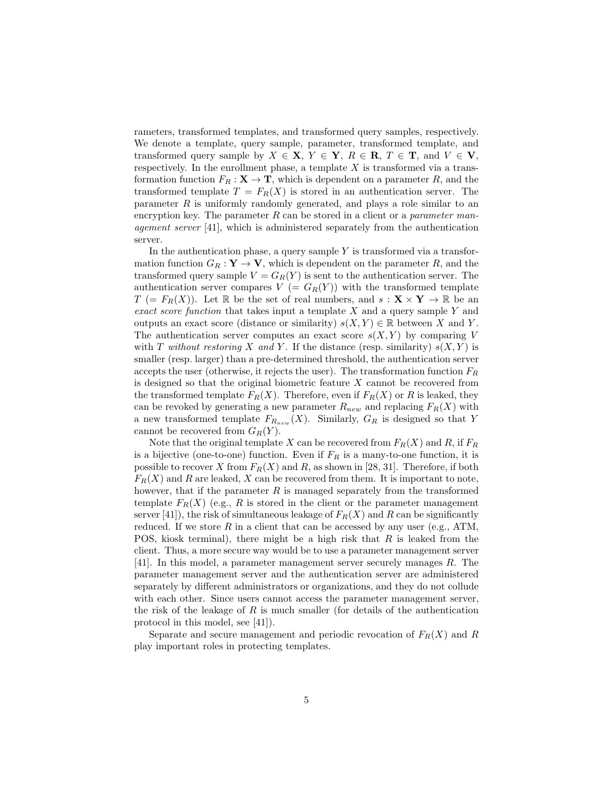rameters, transformed templates, and transformed query samples, respectively. We denote a template, query sample, parameter, transformed template, and transformed query sample by  $X \in \mathbf{X}, Y \in \mathbf{Y}, R \in \mathbf{R}, T \in \mathbf{T}$ , and  $V \in \mathbf{V}$ , respectively. In the enrollment phase, a template  $X$  is transformed via a transformation function  $F_R : \mathbf{X} \to \mathbf{T}$ , which is dependent on a parameter R, and the transformed template  $T = F_R(X)$  is stored in an authentication server. The parameter  $R$  is uniformly randomly generated, and plays a role similar to an encryption key. The parameter R can be stored in a client or a *parameter management server* [41], which is administered separately from the authentication server.

In the authentication phase, a query sample  $Y$  is transformed via a transformation function  $G_R : \mathbf{Y} \to \mathbf{V}$ , which is dependent on the parameter R, and the transformed query sample  $V = G_R(Y)$  is sent to the authentication server. The authentication server compares  $V = G_R(Y)$  with the transformed template  $T (= F_R(X))$ . Let R be the set of real numbers, and  $s: X \times Y \to \mathbb{R}$  be an *exact score function* that takes input a template X and a query sample Y and outputs an exact score (distance or similarity)  $s(X, Y) \in \mathbb{R}$  between X and Y. The authentication server computes an exact score  $s(X, Y)$  by comparing V with T *without restoring* X and Y. If the distance (resp. similarity)  $s(X, Y)$  is smaller (resp. larger) than a pre-determined threshold, the authentication server accepts the user (otherwise, it rejects the user). The transformation function  $F_R$ is designed so that the original biometric feature X cannot be recovered from the transformed template  $F_R(X)$ . Therefore, even if  $F_R(X)$  or R is leaked, they can be revoked by generating a new parameter  $R_{new}$  and replacing  $F_R(X)$  with a new transformed template  $F_{R_{new}}(X)$ . Similarly,  $G_R$  is designed so that Y cannot be recovered from  $G_R(Y)$ .

Note that the original template X can be recovered from  $F_R(X)$  and R, if  $F_R$ is a bijective (one-to-one) function. Even if  $F_R$  is a many-to-one function, it is possible to recover X from  $F_R(X)$  and R, as shown in [28, 31]. Therefore, if both  $F_R(X)$  and R are leaked, X can be recovered from them. It is important to note, however, that if the parameter  $R$  is managed separately from the transformed template  $F_R(X)$  (e.g., R is stored in the client or the parameter management server [41]), the risk of simultaneous leakage of  $F_R(X)$  and R can be significantly reduced. If we store  $R$  in a client that can be accessed by any user (e.g., ATM, POS, kiosk terminal), there might be a high risk that  $R$  is leaked from the client. Thus, a more secure way would be to use a parameter management server [41]. In this model, a parameter management server securely manages R. The parameter management server and the authentication server are administered separately by different administrators or organizations, and they do not collude with each other. Since users cannot access the parameter management server, the risk of the leakage of  $R$  is much smaller (for details of the authentication protocol in this model, see [41]).

Separate and secure management and periodic revocation of  $F_R(X)$  and R play important roles in protecting templates.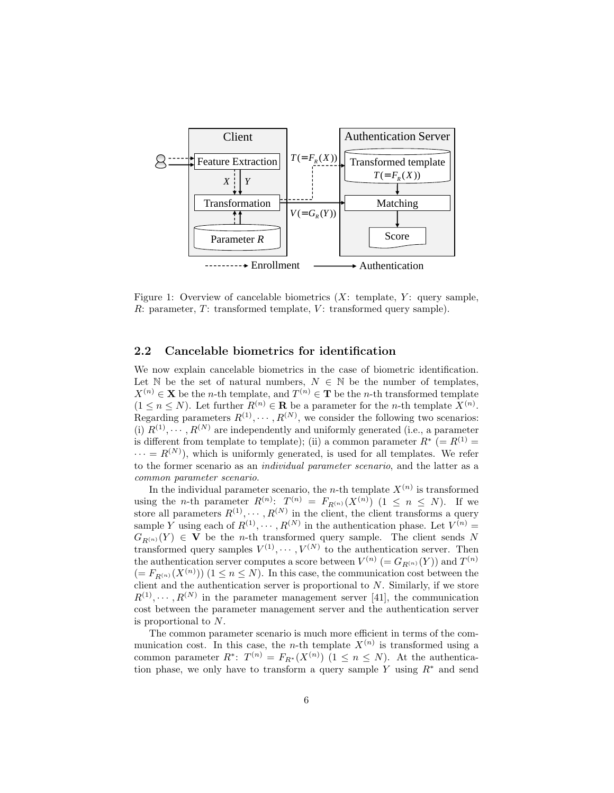

Figure 1: Overview of cancelable biometrics  $(X: \text{ template}, Y: \text{ query sample},$  $R:$  parameter,  $T:$  transformed template,  $V:$  transformed query sample).

### 2.2 Cancelable biometrics for identification

We now explain cancelable biometrics in the case of biometric identification. Let N be the set of natural numbers,  $N \in \mathbb{N}$  be the number of templates,  $X^{(n)} \in \mathbf{X}$  be the *n*-th template, and  $T^{(n)} \in \mathbf{T}$  be the *n*-th transformed template  $(1 \leq n \leq N)$ . Let further  $R^{(n)} \in \mathbf{R}$  be a parameter for the *n*-th template  $X^{(n)}$ . Regarding parameters  $R^{(1)}, \dots, R^{(N)}$ , we consider the following two scenarios: (i)  $R^{(1)}, \cdots, R^{(N)}$  are independently and uniformly generated (i.e., a parameter is different from template to template); (ii) a common parameter  $R^*$  (=  $R^{(1)}$  =  $\cdots = R^{(N)}$ , which is uniformly generated, is used for all templates. We refer to the former scenario as an *individual parameter scenario*, and the latter as a *common parameter scenario*.

In the individual parameter scenario, the *n*-th template  $X^{(n)}$  is transformed using the *n*-th parameter  $R^{(n)}$ :  $T^{(n)} = F_{R^{(n)}}(X^{(n)})$  (1  $\leq n \leq N$ ). If we store all parameters  $R^{(1)}, \dots, R^{(N)}$  in the client, the client transforms a query sample Y using each of  $R^{(1)}, \dots, R^{(N)}$  in the authentication phase. Let  $V^{(n)}$  =  $G_{R(n)}(Y) \in V$  be the *n*-th transformed query sample. The client sends N transformed query samples  $V^{(1)}, \cdots, V^{(N)}$  to the authentication server. Then the authentication server computes a score between  $V^{(n)} = G_{R^{(n)}}(Y)$  and  $T^{(n)}$  $(= F_{R^{(n)}}(X^{(n)}))$   $(1 \le n \le N)$ . In this case, the communication cost between the client and the authentication server is proportional to  $N$ . Similarly, if we store  $R^{(1)}, \cdots, R^{(N)}$  in the parameter management server [41], the communication cost between the parameter management server and the authentication server is proportional to N.

The common parameter scenario is much more efficient in terms of the communication cost. In this case, the *n*-th template  $X^{(n)}$  is transformed using a common parameter  $R^*$ :  $T^{(n)} = F_{R^*}(X^{(n)})$   $(1 \le n \le N)$ . At the authentication phase, we only have to transform a query sample Y using  $R^*$  and send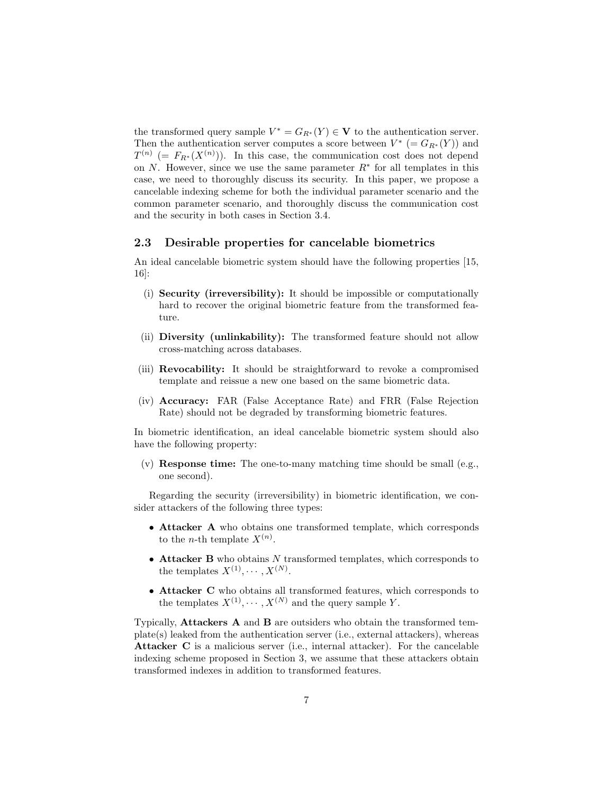the transformed query sample  $V^* = G_{R^*}(Y) \in V$  to the authentication server. Then the authentication server computes a score between  $V^*$  (=  $G_{R^*}(Y)$ ) and  $T^{(n)}$  (=  $F_{R^*}(X^{(n)})$ ). In this case, the communication cost does not depend on N. However, since we use the same parameter  $R^*$  for all templates in this case, we need to thoroughly discuss its security. In this paper, we propose a cancelable indexing scheme for both the individual parameter scenario and the common parameter scenario, and thoroughly discuss the communication cost and the security in both cases in Section 3.4.

#### 2.3 Desirable properties for cancelable biometrics

An ideal cancelable biometric system should have the following properties [15, 16]:

- (i) Security (irreversibility): It should be impossible or computationally hard to recover the original biometric feature from the transformed feature.
- (ii) Diversity (unlinkability): The transformed feature should not allow cross-matching across databases.
- (iii) Revocability: It should be straightforward to revoke a compromised template and reissue a new one based on the same biometric data.
- (iv) Accuracy: FAR (False Acceptance Rate) and FRR (False Rejection Rate) should not be degraded by transforming biometric features.

In biometric identification, an ideal cancelable biometric system should also have the following property:

 $(v)$  **Response time:** The one-to-many matching time should be small (e.g., one second).

Regarding the security (irreversibility) in biometric identification, we consider attackers of the following three types:

- Attacker A who obtains one transformed template, which corresponds to the *n*-th template  $X^{(n)}$ .
- $\bullet$  Attacker B who obtains N transformed templates, which corresponds to the templates  $X^{(1)}, \cdots, X^{(N)}$ .
- Attacker C who obtains all transformed features, which corresponds to the templates  $X^{(1)}, \dots, X^{(N)}$  and the query sample Y.

Typically, Attackers A and B are outsiders who obtain the transformed template(s) leaked from the authentication server (i.e., external attackers), whereas Attacker C is a malicious server (i.e., internal attacker). For the cancelable indexing scheme proposed in Section 3, we assume that these attackers obtain transformed indexes in addition to transformed features.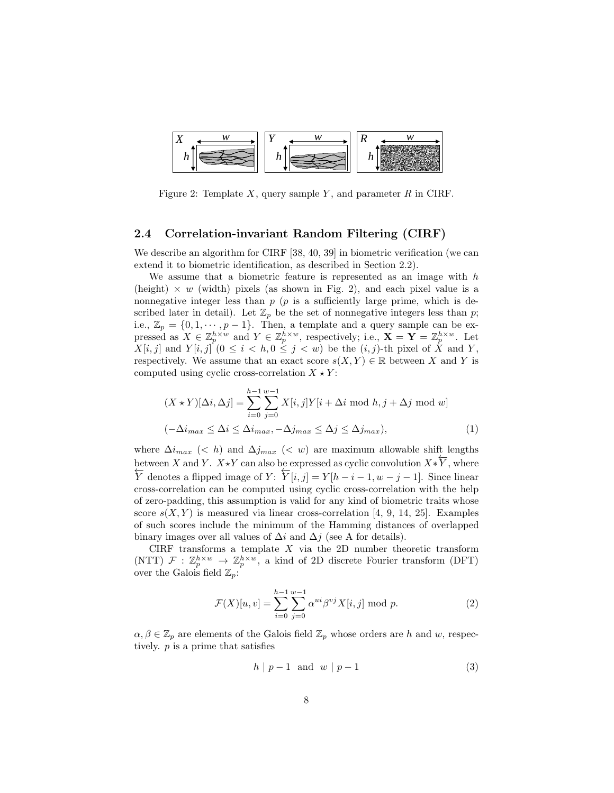

Figure 2: Template X, query sample Y, and parameter  $R$  in CIRF.

#### 2.4 Correlation-invariant Random Filtering (CIRF)

We describe an algorithm for CIRF [38, 40, 39] in biometric verification (we can extend it to biometric identification, as described in Section 2.2).

We assume that a biometric feature is represented as an image with  $h$ (height)  $\times w$  (width) pixels (as shown in Fig. 2), and each pixel value is a nonnegative integer less than  $p$  ( $p$  is a sufficiently large prime, which is described later in detail). Let  $\mathbb{Z}_p$  be the set of nonnegative integers less than p; i.e.,  $\mathbb{Z}_p = \{0, 1, \cdots, p-1\}$ . Then, a template and a query sample can be expressed as  $X \in \mathbb{Z}_p^{h \times w}$  and  $Y \in \mathbb{Z}_p^{h \times w}$ , respectively; i.e.,  $\mathbf{X} = \mathbf{Y} = \mathbb{Z}_p^{h \times w}$ . Let  $X[i, j]$  and  $Y[i, j]$   $(0 \leq i < h, 0 \leq j < w)$  be the  $(i, j)$ -th pixel of X and Y, respectively. We assume that an exact score  $s(X, Y) \in \mathbb{R}$  between X and Y is computed using cyclic cross-correlation  $X \star Y$ :

$$
(X * Y)[\Delta i, \Delta j] = \sum_{i=0}^{h-1} \sum_{j=0}^{w-1} X[i, j] Y[i + \Delta i \mod h, j + \Delta j \mod w]
$$
  

$$
(-\Delta i_{max} \leq \Delta i \leq \Delta i_{max}, -\Delta j_{max} \leq \Delta j \leq \Delta j_{max}),
$$
 (1)

where  $\Delta i_{max}$  (< h) and  $\Delta j_{max}$  (< w) are maximum allowable shift lengths between X and Y.  $X \star Y$  can also be expressed as cyclic convolution  $X \star Y$ , where  $\overline{Y}$  denotes a flipped image of  $Y: \overline{Y}[i, j] = Y[h - i - 1, w - j - 1]$ . Since linear cross-correlation can be computed using cyclic cross-correlation with the help of zero-padding, this assumption is valid for any kind of biometric traits whose score  $s(X, Y)$  is measured via linear cross-correlation [4, 9, 14, 25]. Examples of such scores include the minimum of the Hamming distances of overlapped binary images over all values of  $\Delta i$  and  $\Delta j$  (see A for details).

CIRF transforms a template  $X$  via the 2D number theoretic transform (NTT)  $\mathcal{F}: \mathbb{Z}_p^{h \times w} \to \mathbb{Z}_p^{h \times w}$ , a kind of 2D discrete Fourier transform (DFT) over the Galois field  $\mathbb{Z}_p$ :

$$
\mathcal{F}(X)[u, v] = \sum_{i=0}^{h-1} \sum_{j=0}^{w-1} \alpha^{ui} \beta^{vj} X[i, j] \text{ mod } p.
$$
 (2)

 $\alpha, \beta \in \mathbb{Z}_p$  are elements of the Galois field  $\mathbb{Z}_p$  whose orders are h and w, respectively. p is a prime that satisfies

$$
h \mid p-1 \quad \text{and} \quad w \mid p-1 \tag{3}
$$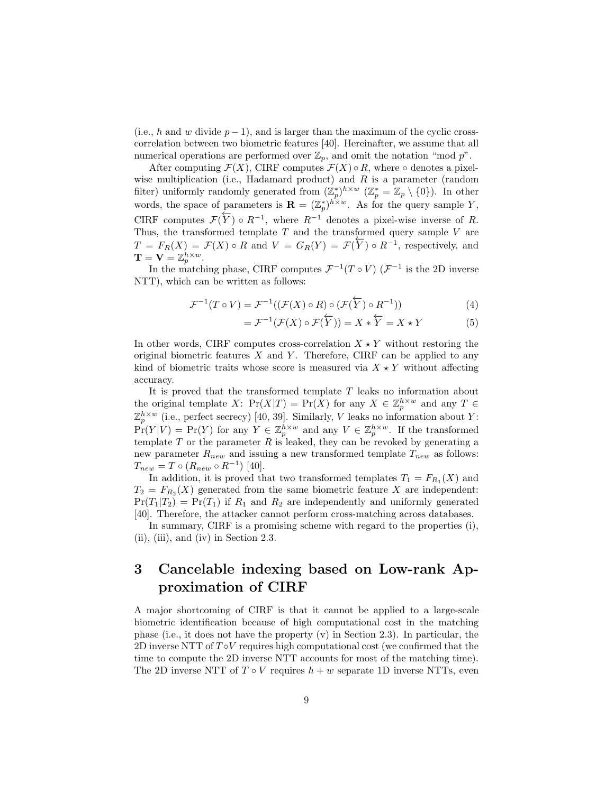(i.e., h and w divide  $p-1$ ), and is larger than the maximum of the cyclic crosscorrelation between two biometric features [40]. Hereinafter, we assume that all numerical operations are performed over  $\mathbb{Z}_p$ , and omit the notation "mod p".

After computing  $\mathcal{F}(X)$ , CIRF computes  $\mathcal{F}(X) \circ R$ , where  $\circ$  denotes a pixelwise multiplication (i.e., Hadamard product) and  $R$  is a parameter (random filter) uniformly randomly generated from  $(\mathbb{Z}_p^*)^{h \times w}$   $(\mathbb{Z}_p^* = \mathbb{Z}_p \setminus \{0\})$ . In other words, the space of parameters is  $\mathbf{R} = (\mathbb{Z}_p^*)^{h \times w}$ . As for the query sample Y, CIRF computes  $\mathcal{F}(\overline{Y}) \circ R^{-1}$ , where  $R^{-1}$  denotes a pixel-wise inverse of R. ←− Thus, the transformed template  $T$  and the transformed query sample  $V$  are  $T = F_R(X) = \mathcal{F}(X) \circ R$  and  $V = G_R(Y) = \mathcal{F}(Y) \circ R^{-1}$ , respectively, and  $\mathbf{T}=\mathbf{V}=\mathbb{Z}_p^{h\times w}.$ 

In the matching phase, CIRF computes  $\mathcal{F}^{-1}(T \circ V)$   $(\mathcal{F}^{-1})$  is the 2D inverse NTT), which can be written as follows:

$$
\mathcal{F}^{-1}(T \circ V) = \mathcal{F}^{-1}((\mathcal{F}(X) \circ R) \circ (\mathcal{F}(\overleftarrow{Y}) \circ R^{-1}))
$$
\n(4)

$$
= \mathcal{F}^{-1}(\mathcal{F}(X) \circ \mathcal{F}(\overleftarrow{Y})) = X * \overleftarrow{Y} = X * Y \tag{5}
$$

In other words, CIRF computes cross-correlation  $X \star Y$  without restoring the original biometric features  $X$  and  $Y$ . Therefore, CIRF can be applied to any kind of biometric traits whose score is measured via  $X \star Y$  without affecting accuracy.

It is proved that the transformed template  $T$  leaks no information about the original template X:  $Pr(X|T) = Pr(X)$  for any  $X \in \mathbb{Z}_p^{h \times w}$  and any  $T \in$  $\mathbb{Z}_p^{h \times w}$  (i.e., perfect secrecy) [40, 39]. Similarly, V leaks no information about Y:  $Pr(Y|V) = Pr(Y)$  for any  $Y \in \mathbb{Z}_p^{h \times w}$  and any  $V \in \mathbb{Z}_p^{h \times w}$ . If the transformed template  $T$  or the parameter  $R$  is leaked, they can be revoked by generating a new parameter  $R_{new}$  and issuing a new transformed template  $T_{new}$  as follows:  $T_{new} = T \circ (R_{new} \circ R^{-1})$  [40].

In addition, it is proved that two transformed templates  $T_1 = F_{R_1}(X)$  and  $T_2 = F_{R_2}(X)$  generated from the same biometric feature X are independent:  $Pr(T_1|T_2) = Pr(T_1)$  if  $R_1$  and  $R_2$  are independently and uniformly generated [40]. Therefore, the attacker cannot perform cross-matching across databases.

In summary, CIRF is a promising scheme with regard to the properties (i), (ii), (iii), and (iv) in Section 2.3.

# 3 Cancelable indexing based on Low-rank Approximation of CIRF

A major shortcoming of CIRF is that it cannot be applied to a large-scale biometric identification because of high computational cost in the matching phase (i.e., it does not have the property  $(v)$  in Section 2.3). In particular, the 2D inverse NTT of  $T \circ V$  requires high computational cost (we confirmed that the time to compute the 2D inverse NTT accounts for most of the matching time). The 2D inverse NTT of  $T \circ V$  requires  $h + w$  separate 1D inverse NTTs, even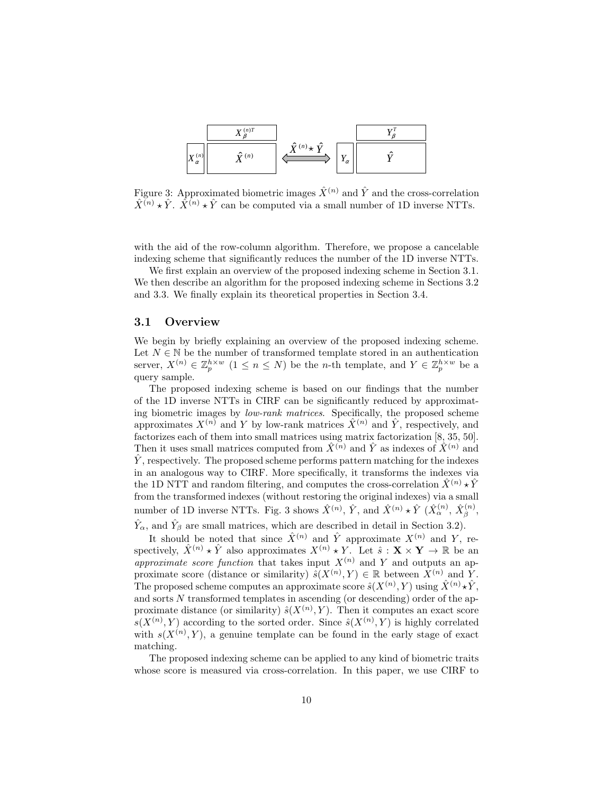

Figure 3: Approximated biometric images  $\hat{X}^{(n)}$  and  $\hat{Y}$  and the cross-correlation  $\hat{X}^{(n)} \star \hat{Y}$ .  $\hat{X}^{(n)} \star \hat{Y}$  can be computed via a small number of 1D inverse NTTs.

with the aid of the row-column algorithm. Therefore, we propose a cancelable indexing scheme that significantly reduces the number of the 1D inverse NTTs.

We first explain an overview of the proposed indexing scheme in Section 3.1. We then describe an algorithm for the proposed indexing scheme in Sections 3.2 and 3.3. We finally explain its theoretical properties in Section 3.4.

#### 3.1 Overview

We begin by briefly explaining an overview of the proposed indexing scheme. Let  $N \in \mathbb{N}$  be the number of transformed template stored in an authentication server,  $X^{(n)} \in \mathbb{Z}_p^{h \times w}$   $(1 \leq n \leq N)$  be the *n*-th template, and  $Y \in \mathbb{Z}_p^{h \times w}$  be a query sample.

The proposed indexing scheme is based on our findings that the number of the 1D inverse NTTs in CIRF can be significantly reduced by approximating biometric images by *low-rank matrices*. Specifically, the proposed scheme approximates  $X^{(n)}$  and Y by low-rank matrices  $\hat{X}^{(n)}$  and  $\hat{Y}$ , respectively, and factorizes each of them into small matrices using matrix factorization [8, 35, 50]. Then it uses small matrices computed from  $\hat{X}^{(n)}$  and  $\hat{Y}$  as indexes of  $\hat{X}^{(n)}$  and  $\hat{Y}$ , respectively. The proposed scheme performs pattern matching for the indexes in an analogous way to CIRF. More specifically, it transforms the indexes via the 1D NTT and random filtering, and computes the cross-correlation  $\hat{X}^{(n)} \star \hat{Y}$ from the transformed indexes (without restoring the original indexes) via a small number of 1D inverse NTTs. Fig. 3 shows  $\hat{X}^{(n)}$ ,  $\hat{Y}$ , and  $\hat{X}^{(n)} \star \hat{Y}$   $(\hat{X}^{(n)}_{\alpha}, \hat{X}^{(n)}_{\beta},$  $\hat{Y}_{\alpha}$ , and  $\hat{Y}_{\beta}$  are small matrices, which are described in detail in Section 3.2).

It should be noted that since  $\hat{X}^{(n)}$  and  $\hat{Y}$  approximate  $X^{(n)}$  and Y, respectively,  $\hat{X}^{(n)} \star \hat{Y}$  also approximates  $X^{(n)} \star Y$ . Let  $\hat{s} : \mathbf{X} \times \mathbf{Y} \to \mathbb{R}$  be an *approximate score function* that takes input  $X^{(n)}$  and Y and outputs an approximate score (distance or similarity)  $\hat{s}(X^{(n)}, Y) \in \mathbb{R}$  between  $X^{(n)}$  and Y. The proposed scheme computes an approximate score  $\hat{s}(X^{(n)}, Y)$  using  $\hat{X}^{(n)} \star \hat{Y}$ , and sorts N transformed templates in ascending (or descending) order of the approximate distance (or similarity)  $\hat{s}(X^{(n)}, Y)$ . Then it computes an exact score  $s(X^{(n)}, Y)$  according to the sorted order. Since  $\hat{s}(X^{(n)}, Y)$  is highly correlated with  $s(X^{(n)}, Y)$ , a genuine template can be found in the early stage of exact matching.

The proposed indexing scheme can be applied to any kind of biometric traits whose score is measured via cross-correlation. In this paper, we use CIRF to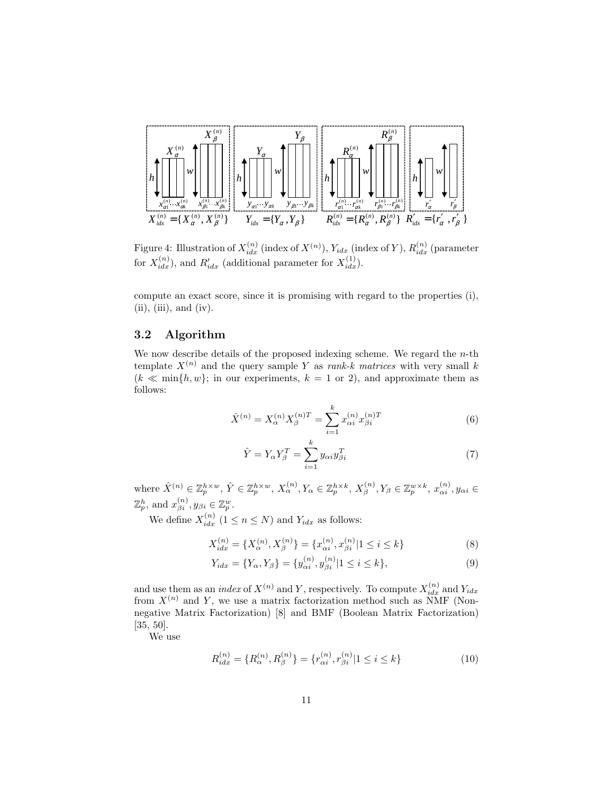

Figure 4: Illustration of  $X_{idx}^{(n)}$  (index of  $X^{(n)}$ ),  $Y_{idx}$  (index of Y),  $R_{idx}^{(n)}$  (parameter for  $X_{idx}^{(n)}$ , and  $R'_{idx}$  (additional parameter for  $X_{idx}^{(1)}$ ).

compute an exact score, since it is promising with regard to the properties (i),  $(ii), (iii), and (iv).$ 

### 3.2 Algorithm

We now describe details of the proposed indexing scheme. We regard the  $n$ -th template  $X^{(n)}$  and the query sample Y as *rank-k matrices* with very small k  $(k \ll \min\{h, w\})$ ; in our experiments,  $k = 1$  or 2), and approximate them as follows:

$$
\hat{X}^{(n)} = X_{\alpha}^{(n)} X_{\beta}^{(n)T} = \sum_{i=1}^{k} x_{\alpha i}^{(n)} x_{\beta i}^{(n)T}
$$
(6)

$$
\hat{Y} = Y_{\alpha} Y_{\beta}^{T} = \sum_{i=1}^{k} y_{\alpha i} y_{\beta i}^{T}
$$
\n(7)

where  $\hat{X}^{(n)} \in \mathbb{Z}_p^{h \times w}$ ,  $\hat{Y} \in \mathbb{Z}_p^{h \times w}$ ,  $X_\alpha^{(n)}$ ,  $Y_\alpha \in \mathbb{Z}_p^{h \times k}$ ,  $X_\beta^{(n)}$ ,  $Y_\beta \in \mathbb{Z}_p^{w \times k}$ ,  $x_{\alpha i}^{(n)}$ ,  $y_{\alpha i} \in$  $\mathbb{Z}_p^h$ , and  $x_{\beta i}^{(n)}, y_{\beta i} \in \mathbb{Z}_p^w$ .

We define  $X_{idx}^{(n)}$   $(1 \le n \le N)$  and  $Y_{idx}$  as follows:

$$
X_{idx}^{(n)} = \{X_{\alpha}^{(n)}, X_{\beta}^{(n)}\} = \{x_{\alpha i}^{(n)}, x_{\beta i}^{(n)} | 1 \le i \le k\}
$$
\n(8)

$$
Y_{idx} = \{Y_{\alpha}, Y_{\beta}\} = \{y_{\alpha i}^{(n)}, y_{\beta i}^{(n)} | 1 \le i \le k\},\tag{9}
$$

and use them as an *index* of  $X^{(n)}$  and Y, respectively. To compute  $X_{idx}^{(n)}$  and  $Y_{idx}$ from  $X^{(n)}$  and Y, we use a matrix factorization method such as NMF (Nonnegative Matrix Factorization) [8] and BMF (Boolean Matrix Factorization) [35, 50].

We use

$$
R_{idx}^{(n)} = \{ R_{\alpha}^{(n)}, R_{\beta}^{(n)} \} = \{ r_{\alpha i}^{(n)}, r_{\beta i}^{(n)} | 1 \le i \le k \}
$$
(10)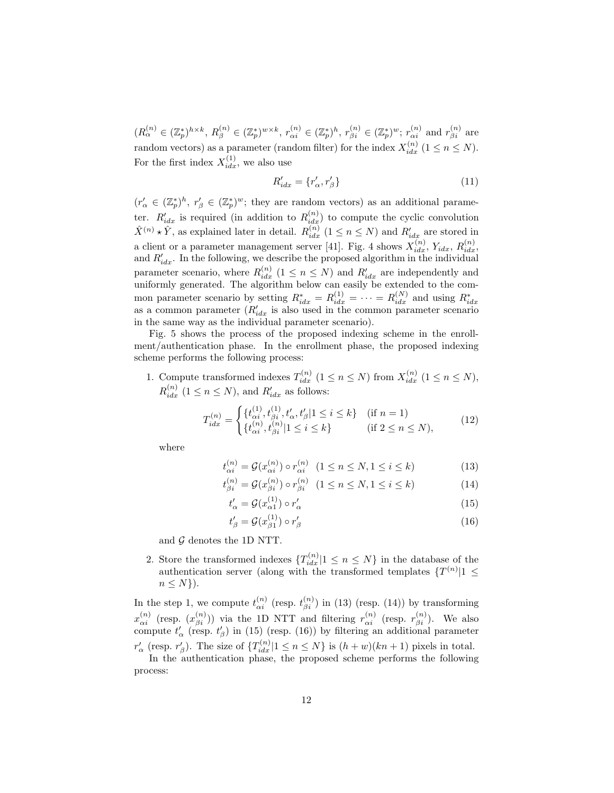$(R_{\alpha}^{(n)} \in (\mathbb{Z}_p^*)^{h \times k}, R_{\beta}^{(n)} \in (\mathbb{Z}_p^*)^{w \times k}, r_{\alpha i}^{(n)} \in (\mathbb{Z}_p^*)^h, r_{\beta i}^{(n)} \in (\mathbb{Z}_p^*)^w; r_{\alpha i}^{(n)} \text{ and } r_{\beta i}^{(n)} \text{ are}$ random vectors) as a parameter (random filter) for the index  $X_{idx}^{(n)}$  ( $1 \le n \le N$ ). For the first index  $X_{idx}^{(1)}$ , we also use

$$
R'_{idx} = \{r'_{\alpha}, r'_{\beta}\}\tag{11}
$$

 $(r'_{\alpha} \in (\mathbb{Z}_p^*)^h, r'_{\beta} \in (\mathbb{Z}_p^*)^w$ ; they are random vectors) as an additional parameter.  $R'_{idx}$  is required (in addition to  $R_{idx}^{(n)}$ ) to compute the cyclic convolution  $\hat{X}^{(n)} \star \hat{Y}$ , as explained later in detail.  $R_{idx}^{(n)}$  ( $1 \le n \le N$ ) and  $R'_{idx}$  are stored in a client or a parameter management server [41]. Fig. 4 shows  $X_{idx}^{(n)}$ ,  $Y_{idx}$ ,  $R_{idx}^{(n)}$ and  $R'_{idx}$ . In the following, we describe the proposed algorithm in the individual parameter scenario, where  $R_{idx}^{(n)}$  ( $1 \leq n \leq N$ ) and  $R'_{idx}$  are independently and uniformly generated. The algorithm below can easily be extended to the common parameter scenario by setting  $R_{idx}^* = R_{idx}^{(1)} = \cdots = R_{idx}^{(N)}$  and using  $R_{idx}^*$  as a common parameter  $(R'_{idx}$  is also used in the common parameter scenario in the same way as the individual parameter scenario).

Fig. 5 shows the process of the proposed indexing scheme in the enrollment/authentication phase. In the enrollment phase, the proposed indexing scheme performs the following process:

1. Compute transformed indexes  $T_{idx}^{(n)}$   $(1 \le n \le N)$  from  $X_{idx}^{(n)}$   $(1 \le n \le N)$ ,  $R_{idx}^{(n)}$  (1  $\leq n \leq N$ ), and  $R'_{idx}$  as follows:

$$
T_{idx}^{(n)} = \begin{cases} \{t_{\alpha i}^{(1)}, t_{\beta i}^{(1)}, t_{\alpha}, t_{\beta}^{\prime} | 1 \le i \le k \} & (\text{if } n = 1) \\ \{t_{\alpha i}^{(n)}, t_{\beta i}^{(n)} | 1 \le i \le k \} & (\text{if } 2 \le n \le N), \end{cases}
$$
(12)

where

$$
t_{\alpha i}^{(n)} = \mathcal{G}(x_{\alpha i}^{(n)}) \circ r_{\alpha i}^{(n)} \quad (1 \le n \le N, 1 \le i \le k)
$$
 (13)

$$
_{\beta i}^{(n)} = \mathcal{G}(x_{\beta i}^{(n)}) \circ r_{\beta i}^{(n)} \quad (1 \le n \le N, 1 \le i \le k)
$$
 (14)

$$
t'_{\alpha} = \mathcal{G}(x_{\alpha 1}^{(1)}) \circ r'_{\alpha} \tag{15}
$$

$$
t'_{\beta} = \mathcal{G}(x_{\beta 1}^{(1)}) \circ r'_{\beta} \tag{16}
$$

and  $\mathcal G$  denotes the 1D NTT.

t

2. Store the transformed indexes  $\{T_{idx}^{(n)}|1 \leq n \leq N\}$  in the database of the authentication server (along with the transformed templates  $\{T^{(n)}|1 \leq$  $n \leq N$ ).

In the step 1, we compute  $t_{\alpha i}^{(n)}$  (resp.  $t_{\beta i}^{(n)}$ ) in (13) (resp. (14)) by transforming  $x_{\alpha i}^{(n)}$  (resp.  $(x_{\beta i}^{(n)})$ ) via the 1D NTT and filtering  $r_{\alpha i}^{(n)}$  (resp.  $r_{\beta i}^{(n)}$ ). We also compute  $t'_{\alpha}$  (resp.  $t'_{\beta}$ ) in (15) (resp. (16)) by filtering an additional parameter

 $r'_{\alpha}$  (resp.  $r'_{\beta}$ ). The size of  $\{T_{idx}^{(n)}|1 \leq n \leq N\}$  is  $(h+w)(kn+1)$  pixels in total.

In the authentication phase, the proposed scheme performs the following process: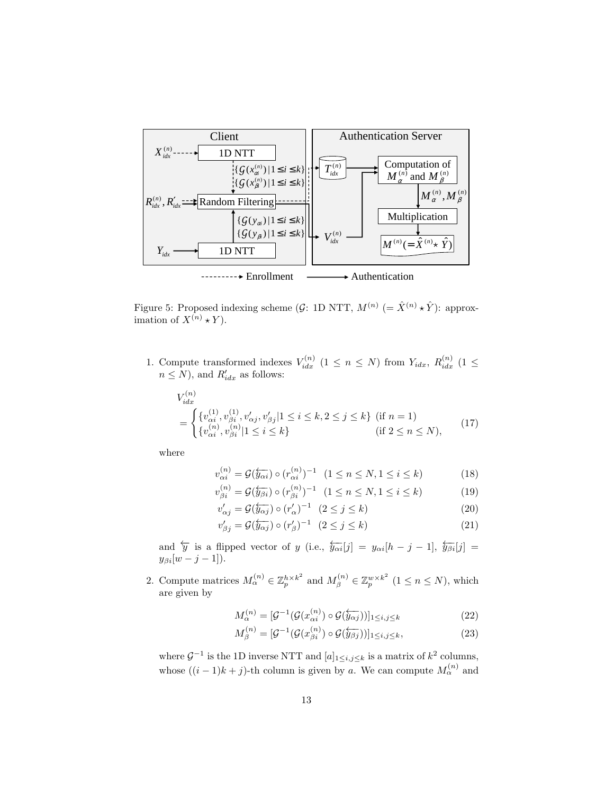

Figure 5: Proposed indexing scheme (G: 1D NTT,  $M^{(n)} = \hat{X}^{(n)} \star \hat{Y}$ ): approximation of  $X^{(n)} \star Y$ ).

1. Compute transformed indexes  $V_{idx}^{(n)}$  (1  $\leq n \leq N$ ) from  $Y_{idx}$ ,  $R_{idx}^{(n)}$  (1  $\leq$  $n \leq N$ ), and  $R'_{idx}$  as follows:

$$
V_{idx}^{(n)} = \begin{cases} \{v_{\alpha i}^{(1)}, v_{\beta i}^{(1)}, v_{\alpha j}^{\prime}, v_{\beta j}^{\prime} | 1 \le i \le k, 2 \le j \le k \} & \text{(if } n = 1) \\ \{v_{\alpha i}^{(n)}, v_{\beta i}^{(n)} | 1 \le i \le k \} & \text{(if } 2 \le n \le N), \end{cases}
$$
(17)

where

$$
v_{\alpha i}^{(n)} = \mathcal{G}(\overleftarrow{y_{\alpha i}}) \circ (r_{\alpha i}^{(n)})^{-1} \quad (1 \le n \le N, 1 \le i \le k) \tag{18}
$$
  

$$
v_{\alpha i}^{(n)} = \mathcal{G}(\overleftarrow{z_{\alpha i}}) \circ (r_{\alpha i}^{(n)})^{-1} \quad (1 \le n \le N, 1 \le i \le k) \tag{19}
$$

$$
v_{\beta i}^{(n)} = \mathcal{G}(\overleftarrow{y_{\beta i}}) \circ (r_{\beta i}^{(n)})^{-1} \quad (1 \le n \le N, 1 \le i \le k)
$$
 (19)

$$
v'_{\alpha j} = \mathcal{G}(\overline{\hat{y}_{\alpha j}}) \circ (r'_{\alpha})^{-1} \quad (2 \le j \le k)
$$
 (20)

$$
v_{\beta j}' = \mathcal{G}(\overleftarrow{y_{\alpha j}}) \circ (r_{\beta}')^{-1} \quad (2 \le j \le k)
$$
\n(21)

and  $\overleftarrow{y}$  is a flipped vector of y (i.e.,  $\overleftarrow{y_{\alpha i}}[j] = y_{\alpha i}[h-j-1], \overleftarrow{y_{\beta i}}[j] =$  $y_{\beta i}[w-j-1]).$ 

2. Compute matrices  $M_{\alpha}^{(n)} \in \mathbb{Z}_p^{h \times k^2}$  and  $M_{\beta}^{(n)} \in \mathbb{Z}_p^{w \times k^2}$   $(1 \le n \le N)$ , which are given by

$$
M_{\alpha}^{(n)} = [\mathcal{G}^{-1}(\mathcal{G}(x_{\alpha i}^{(n)}) \circ \mathcal{G}(\overleftarrow{\mathcal{G}_{\alpha j}}))]_{1 \leq i,j \leq k} \tag{22}
$$

$$
M_{\beta}^{(n)} = [\mathcal{G}^{-1}(\mathcal{G}(x_{\beta i}^{(n)}) \circ \mathcal{G}(\overleftarrow{\mathcal{G}\beta j}))]_{1 \leq i,j \leq k},\tag{23}
$$

where  $\mathcal{G}^{-1}$  is the 1D inverse NTT and  $[a]_{1\leq i,j\leq k}$  is a matrix of  $k^2$  columns, whose  $((i-1)k+j)$ -th column is given by a. We can compute  $M_{\alpha}^{(n)}$  and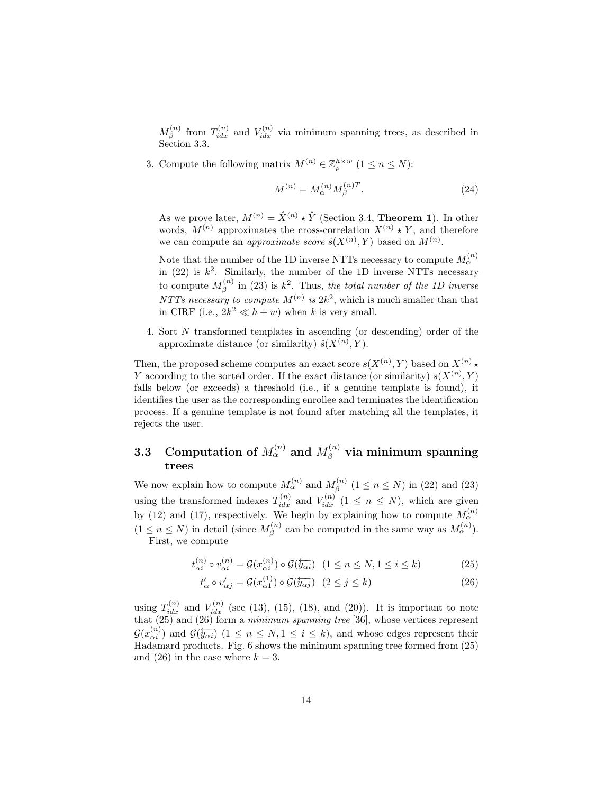$M_{\beta}^{(n)}$  from  $T_{idx}^{(n)}$  and  $V_{idx}^{(n)}$  via minimum spanning trees, as described in Section 3.3.

3. Compute the following matrix  $M^{(n)} \in \mathbb{Z}_p^{h \times w}$   $(1 \le n \le N)$ :

$$
M^{(n)} = M_{\alpha}^{(n)} M_{\beta}^{(n)T}.
$$
\n(24)

As we prove later,  $M^{(n)} = \hat{X}^{(n)} \star \hat{Y}$  (Section 3.4, **Theorem 1**). In other words,  $M^{(n)}$  approximates the cross-correlation  $X^{(n)} \star Y$ , and therefore we can compute an *approximate score*  $\hat{s}(X^{(n)}, Y)$  based on  $M^{(n)}$ .

Note that the number of the 1D inverse NTTs necessary to compute  $M_{\alpha}^{(n)}$ in  $(22)$  is  $k^2$ . Similarly, the number of the 1D inverse NTTs necessary to compute  $M_{\beta}^{(n)}$  in (23) is  $k^2$ . Thus, *the total number of the 1D inverse NTTs necessary to compute*  $M^{(n)}$  *is*  $2k^2$ , which is much smaller than that in CIRF (i.e.,  $2k^2 \ll h + w$ ) when k is very small.

4. Sort N transformed templates in ascending (or descending) order of the approximate distance (or similarity)  $\hat{s}(X^{(n)}, Y)$ .

Then, the proposed scheme computes an exact score  $s(X^{(n)}, Y)$  based on  $X^{(n)} \star$ Y according to the sorted order. If the exact distance (or similarity)  $s(X^{(n)}, Y)$ falls below (or exceeds) a threshold (i.e., if a genuine template is found), it identifies the user as the corresponding enrollee and terminates the identification process. If a genuine template is not found after matching all the templates, it rejects the user.

### $\, {\bf 3.3} \quad {\bf Computation~of}~ M_\alpha^{(n)} \text{ and } M_\beta^{(n)} \text{ via minimum spanning}$ trees

We now explain how to compute  $M_{\alpha}^{(n)}$  and  $M_{\beta}^{(n)}$   $(1 \le n \le N)$  in (22) and (23) using the transformed indexes  $T_{idx}^{(n)}$  and  $V_{idx}^{(n)}$  (1  $\leq n \leq N$ ), which are given by (12) and (17), respectively. We begin by explaining how to compute  $M_{\alpha}^{(n)}$  $(1 \le n \le N)$  in detail (since  $M_{\beta}^{(n)}$  can be computed in the same way as  $M_{\alpha}^{(n)}$ ). First, we compute

$$
t_{\alpha i}^{(n)} \circ v_{\alpha i}^{(n)} = \mathcal{G}(x_{\alpha i}^{(n)}) \circ \mathcal{G}(\overleftarrow{y_{\alpha i}}) \quad (1 \le n \le N, 1 \le i \le k)
$$
 (25)

$$
t'_{\alpha} \circ v'_{\alpha j} = \mathcal{G}(x_{\alpha 1}^{(1)}) \circ \mathcal{G}(\overleftarrow{y_{\alpha j}}) \quad (2 \le j \le k)
$$
 (26)

using  $T_{idx}^{(n)}$  and  $V_{idx}^{(n)}$  (see (13), (15), (18), and (20)). It is important to note that (25) and (26) form a *minimum spanning tree* [36], whose vertices represent  $\mathcal{G}(x_{\alpha i}^{(n)})$  and  $\mathcal{G}(\overleftarrow{y_{\alpha i}})$   $(1 \leq n \leq N, 1 \leq i \leq k)$ , and whose edges represent their Hadamard products. Fig. 6 shows the minimum spanning tree formed from (25) and (26) in the case where  $k = 3$ .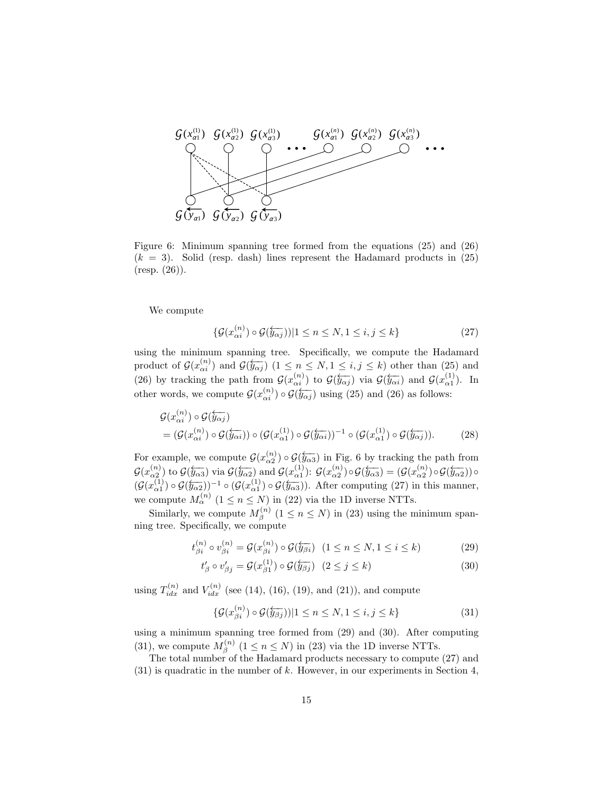

Figure 6: Minimum spanning tree formed from the equations (25) and (26)  $(k = 3)$ . Solid (resp. dash) lines represent the Hadamard products in  $(25)$ (resp. (26)).

We compute

$$
\{\mathcal{G}(x_{\alpha i}^{(n)}) \circ \mathcal{G}(\overleftarrow{y_{\alpha j}}))|1 \le n \le N, 1 \le i, j \le k\}
$$
\n
$$
(27)
$$

using the minimum spanning tree. Specifically, we compute the Hadamard product of  $\mathcal{G}(x_{\alpha i}^{(n)})$  and  $\mathcal{G}(\overleftarrow{y_{\alpha j}})$   $(1 \leq n \leq N, 1 \leq i, j \leq k)$  other than (25) and (26) by tracking the path from  $\mathcal{G}(x_{\alpha i}^{(n)})$  to  $\mathcal{G}(\overleftarrow{y_{\alpha j}})$  via  $\mathcal{G}(\overleftarrow{y_{\alpha i}})$  and  $\mathcal{G}(x_{\alpha 1}^{(1)})$ . In other words, we compute  $\mathcal{G}(x_{\alpha i}^{(n)}) \circ \widetilde{\mathcal{G}(y_{\alpha j})}$  using (25) and (26) as follows:

$$
\mathcal{G}(x_{\alpha i}^{(n)}) \circ \mathcal{G}(\overleftarrow{y_{\alpha j}}) \n= (\mathcal{G}(x_{\alpha i}^{(n)}) \circ \mathcal{G}(\overleftarrow{y_{\alpha i}})) \circ (\mathcal{G}(x_{\alpha 1}^{(1)}) \circ \mathcal{G}(\overleftarrow{y_{\alpha i}}))^{-1} \circ (\mathcal{G}(x_{\alpha 1}^{(1)}) \circ \mathcal{G}(\overleftarrow{y_{\alpha j}})).
$$
\n(28)

For example, we compute  $\mathcal{G}(x_{\alpha 2}^{(n)}) \circ \mathcal{G}(\overline{y_{\alpha 3}})$  in Fig. 6 by tracking the path from  $\mathcal{G}(x_{\alpha 2}^{(n)})$  to  $\mathcal{G}(\overleftarrow{y_{\alpha 3}})$  via  $\mathcal{G}(\overleftarrow{y_{\alpha 2}})$  and  $\mathcal{G}(x_{\alpha 1}^{(1)})$ :  $\mathcal{G}(x_{\alpha 2}^{(n)})\circ\mathcal{G}(\overleftarrow{y_{\alpha 3}}) = (\mathcal{G}(x_{\alpha 2}^{(n)})\circ\mathcal{G}(\overleftarrow{y_{\alpha 2}}))\circ$  $(\mathcal{G}(x_{\alpha 1}^{(1)}) \circ \mathcal{G}(\overline{\mathcal{Y}_{\alpha 2}}))^{-1} \circ (\mathcal{G}(x_{\alpha 1}^{(1)}) \circ \mathcal{G}(\overline{\mathcal{Y}_{\alpha 3}})).$  After computing (27) in this manner, we compute  $M_{\alpha}^{(n)}$   $(1 \le n \le N)$  in (22) via the 1D inverse NTTs.

Similarly, we compute  $M_{\beta}^{(n)}$   $(1 \leq n \leq N)$  in (23) using the minimum spanning tree. Specifically, we compute

$$
t_{\beta i}^{(n)} \circ v_{\beta i}^{(n)} = \mathcal{G}(x_{\beta i}^{(n)}) \circ \mathcal{G}(\overleftarrow{y_{\beta i}}) \ (1 \le n \le N, 1 \le i \le k)
$$
 (29)

$$
t'_{\beta} \circ v'_{\beta j} = \mathcal{G}(x_{\beta 1}^{(1)}) \circ \mathcal{G}(\overleftarrow{y_{\beta j}}) \quad (2 \le j \le k)
$$
\n
$$
(30)
$$

using  $T_{idx}^{(n)}$  and  $V_{idx}^{(n)}$  (see (14), (16), (19), and (21)), and compute

$$
\{\mathcal{G}(x_{\beta i}^{(n)}) \circ \mathcal{G}(\overleftarrow{y_{\beta j}})\|\| \le n \le N, 1 \le i, j \le k\}
$$
\n(31)

using a minimum spanning tree formed from (29) and (30). After computing (31), we compute  $M_\beta^{(n)}$   $(1 \le n \le N)$  in (23) via the 1D inverse NTTs.

The total number of the Hadamard products necessary to compute (27) and  $(31)$  is quadratic in the number of k. However, in our experiments in Section 4,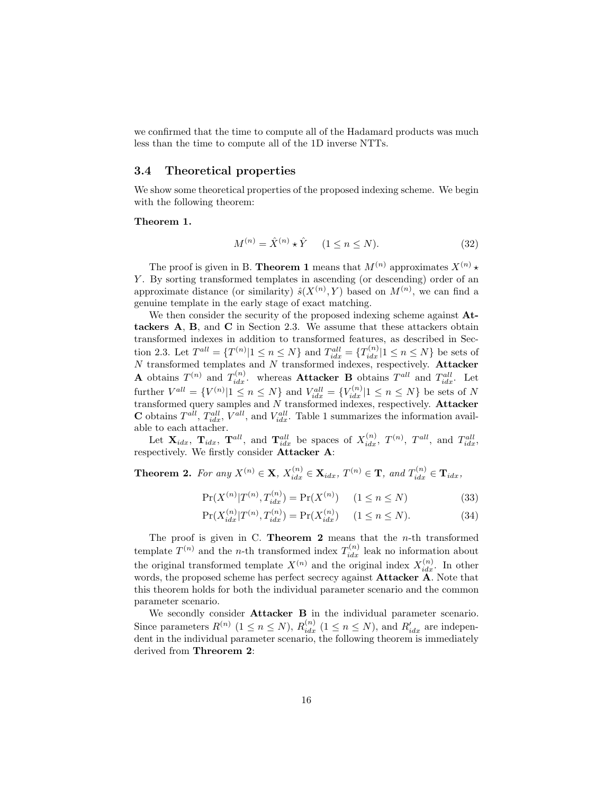we confirmed that the time to compute all of the Hadamard products was much less than the time to compute all of the 1D inverse NTTs.

#### 3.4 Theoretical properties

We show some theoretical properties of the proposed indexing scheme. We begin with the following theorem:

#### Theorem 1.

$$
M^{(n)} = \hat{X}^{(n)} \star \hat{Y} \qquad (1 \le n \le N). \tag{32}
$$

The proof is given in B. **Theorem 1** means that  $M^{(n)}$  approximates  $X^{(n)} \star$ Y. By sorting transformed templates in ascending (or descending) order of an approximate distance (or similarity)  $\hat{s}(X^{(n)}, Y)$  based on  $M^{(n)}$ , we can find a genuine template in the early stage of exact matching.

We then consider the security of the proposed indexing scheme against  $At$ tackers A, B, and C in Section 2.3. We assume that these attackers obtain transformed indexes in addition to transformed features, as described in Section 2.3. Let  $T^{all} = \{T^{(n)} | 1 \le n \le N\}$  and  $T^{all}_{idx} = \{T^{(n)}_{idx} | 1 \le n \le N\}$  be sets of  $N$  transformed templates and  $N$  transformed indexes, respectively. Attacker **A** obtains  $T^{(n)}$  and  $T^{(n)}_{idx}$ . whereas **Attacker B** obtains  $T^{all}$  and  $T^{all}_{idx}$ . Let further  $V^{all} = \{V^{(n)}|1 \le n \le N\}$  and  $V^{all}_{idx} = \{V^{(n)}_{idx}|1 \le n \le N\}$  be sets of N transformed query samples and  $N$  transformed indexes, respectively. Attacker **C** obtains  $T^{all}$ ,  $T^{all}_{idx}$ ,  $V^{all}$ , and  $V^{all}_{idx}$ . Table 1 summarizes the information available to each attacher.

Let  $\mathbf{X}_{idx}$ ,  $\mathbf{T}_{idx}$ ,  $\mathbf{T}^{all}$ , and  $\mathbf{T}^{all}_{idx}$  be spaces of  $X_{idx}^{(n)}$ ,  $T^{(n)}$ ,  $T^{all}$ , and  $T^{all}_{idx}$ , respectively. We firstly consider Attacker A:

**Theorem 2.** For any  $X^{(n)} \in \mathbf{X}$ ,  $X_{idx}^{(n)} \in \mathbf{X}_{idx}$ ,  $T^{(n)} \in \mathbf{T}$ , and  $T_{idx}^{(n)} \in \mathbf{T}_{idx}$ ,

$$
\Pr(X^{(n)}|T^{(n)}, T_{idx}^{(n)}) = \Pr(X^{(n)}) \quad (1 \le n \le N)
$$
\n(33)

$$
\Pr(X_{idx}^{(n)}|T^{(n)}, T_{idx}^{(n)}) = \Pr(X_{idx}^{(n)}) \qquad (1 \le n \le N). \tag{34}
$$

The proof is given in C. **Theorem 2** means that the  $n$ -th transformed template  $T^{(n)}$  and the *n*-th transformed index  $T_{idx}^{(n)}$  leak no information about the original transformed template  $X^{(n)}$  and the original index  $X^{(n)}_{idx}$ . In other words, the proposed scheme has perfect secrecy against **Attacker A**. Note that this theorem holds for both the individual parameter scenario and the common parameter scenario.

We secondly consider **Attacker B** in the individual parameter scenario. Since parameters  $R^{(n)}$   $(1 \le n \le N)$ ,  $R^{(n)}_{idx}$   $(1 \le n \le N)$ , and  $R'_{idx}$  are independent in the individual parameter scenario, the following theorem is immediately derived from Threorem 2: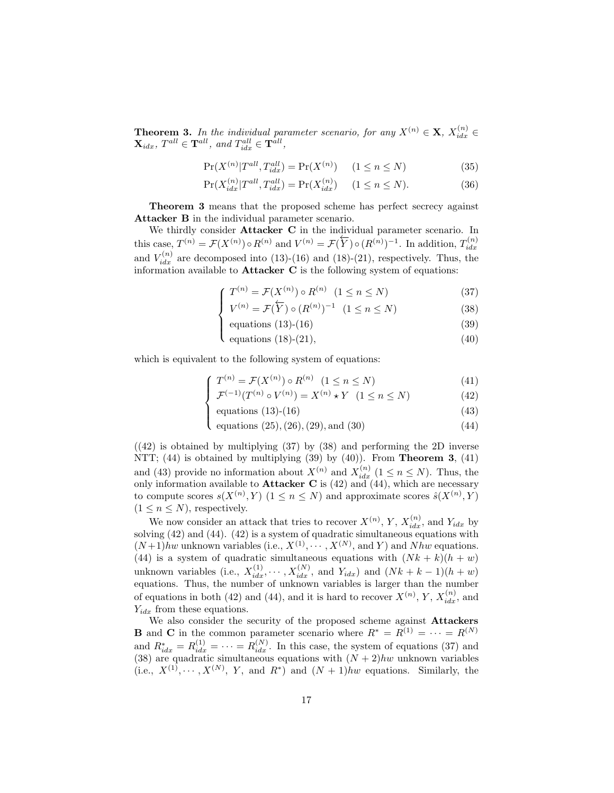**Theorem 3.** In the individual parameter scenario, for any  $X^{(n)} \in \mathbf{X}$ ,  $X_{idx}^{(n)} \in$  $\mathbf{X}_{idx}$ ,  $T^{all} \in \mathbf{T}^{all}$ , and  $T^{all}_{idx} \in \mathbf{T}^{all}$ ,

$$
\Pr(X^{(n)}|T^{all}, T^{all}_{idx}) = \Pr(X^{(n)}) \quad (1 \le n \le N)
$$
\n(35)

$$
\Pr(X_{idx}^{(n)}|T^{all}, T_{idx}^{all}) = \Pr(X_{idx}^{(n)}) \quad (1 \le n \le N). \tag{36}
$$

Theorem 3 means that the proposed scheme has perfect secrecy against Attacker B in the individual parameter scenario.

We thirdly consider **Attacker C** in the individual parameter scenario. In this case,  $T^{(n)} = \mathcal{F}(X^{(n)}) \circ R^{(n)}$  and  $V^{(n)} = \mathcal{F}(\overline{Y}) \circ (R^{(n)})^{-1}$ . In addition,  $T_{idx}^{(n)}$ and  $V_{idx}^{(n)}$  are decomposed into (13)-(16) and (18)-(21), respectively. Thus, the information available to Attacker C is the following system of equations:

$$
\int T^{(n)} = \mathcal{F}(X^{(n)}) \circ R^{(n)} \quad (1 \le n \le N)
$$
\n
$$
(37)
$$

$$
V^{(n)} = \mathcal{F}(Y) \circ (R^{(n)})^{-1} \quad (1 \le n \le N)
$$
 (38)

$$
equations (13)-(16) \t(39)
$$

 $\overline{\mathcal{L}}$ equations  $(18)-(21)$ ,  $(40)$ 

which is equivalent to the following system of equations:

$$
\int T^{(n)} = \mathcal{F}(X^{(n)}) \circ R^{(n)} \quad (1 \le n \le N)
$$
\n<sup>(41)</sup>

$$
\mathcal{F}^{(-1)}(T^{(n)} \circ V^{(n)}) = X^{(n)} \star Y \quad (1 \le n \le N)
$$
 (42)

equations (13)-(16) 
$$
(43)
$$

 equations (25),(26),(29), and (30) (44)

 $((42)$  is obtained by multiplying  $(37)$  by  $(38)$  and performing the 2D inverse NTT;  $(44)$  is obtained by multiplying  $(39)$  by  $(40)$ ). From **Theorem 3**,  $(41)$ and (43) provide no information about  $X^{(n)}$  and  $X_{idx}^{(n)}$  ( $1 \le n \le N$ ). Thus, the only information available to **Attacker C** is  $(42)$  and  $(44)$ , which are necessary to compute scores  $s(X^{(n)}, Y)$   $(1 \le n \le N)$  and approximate scores  $\hat{s}(X^{(n)}, Y)$  $(1 \leq n \leq N)$ , respectively.

We now consider an attack that tries to recover  $X^{(n)}$ ,  $Y$ ,  $X^{(n)}_{idx}$ , and  $Y_{idx}$  by solving (42) and (44). (42) is a system of quadratic simultaneous equations with  $(N+1)hw$  unknown variables (i.e.,  $X^{(1)}, \cdots, X^{(N)}$ , and Y) and Nhw equations. (44) is a system of quadratic simultaneous equations with  $(Nk + k)(h + w)$ unknown variables (i.e.,  $X_{idx}^{(1)}, \cdots, X_{idx}^{(N)}$ , and  $Y_{idx}$ ) and  $(Nk + k - 1)(h + w)$ equations. Thus, the number of unknown variables is larger than the number of equations in both (42) and (44), and it is hard to recover  $X^{(n)}$ , Y,  $X_{idx}^{(n)}$ , and  $Y_{idx}$  from these equations.

We also consider the security of the proposed scheme against Attackers **B** and **C** in the common parameter scenario where  $R^* = R^{(1)} = \cdots = R^{(N)}$ and  $R_{idx}^* = R_{idx}^{(1)} = \cdots = R_{idx}^{(N)}$ . In this case, the system of equations (37) and (38) are quadratic simultaneous equations with  $(N+2)hw$  unknown variables (i.e.,  $X^{(1)}, \cdots, X^{(N)}$ , Y, and  $R^*$ ) and  $(N+1)hw$  equations. Similarly, the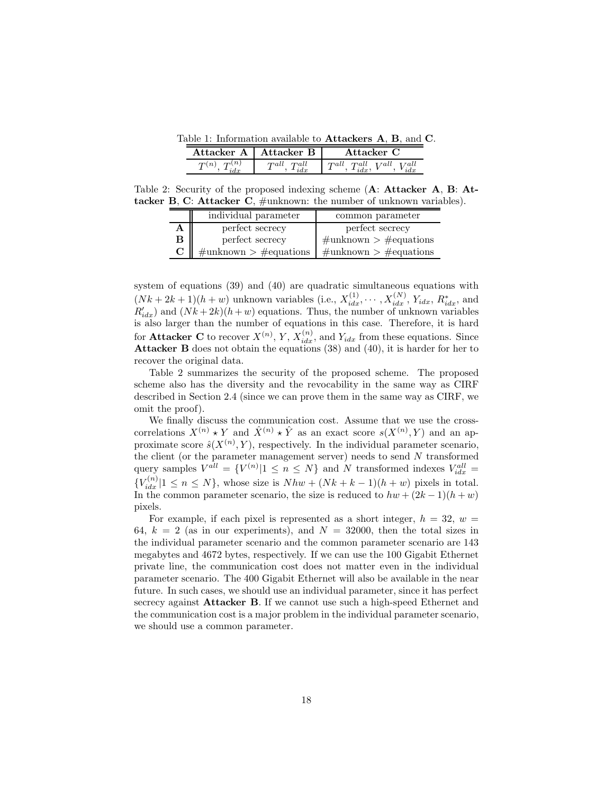Table 1: Information available to Attackers A, B, and C.

|                           | Attacker A   Attacker B | Attacker C                                       |
|---------------------------|-------------------------|--------------------------------------------------|
| $\boldsymbol{\tau}^{(n)}$ | $Tall$ $Tall$           | $T^{all}, T^{all}_{idx}, V^{all}, V^{all}_{idx}$ |

Table 2: Security of the proposed indexing scheme (A: Attacker A, B: Attacker B, C: Attacker C,  $\#$ unknown: the number of unknown variables).

|   | individual parameter          | common parameter                        |  |
|---|-------------------------------|-----------------------------------------|--|
|   | perfect secrecy               | perfect secrecy                         |  |
| в | perfect secrecy               | $\#\text{unknown} > \#\text{equations}$ |  |
|   | $\#$ unknown > $\#$ equations | $\#$ unknown > $\#$ equations           |  |

system of equations (39) and (40) are quadratic simultaneous equations with  $(Nk+2k+1)(h+w)$  unknown variables (i.e.,  $X_{idx}^{(1)}, \cdots, X_{idx}^{(N)}, Y_{idx}, R_{idx}^*$ , and  $R'_{idx}$ ) and  $(Nk+2k)(h+w)$  equations. Thus, the number of unknown variables is also larger than the number of equations in this case. Therefore, it is hard for **Attacker C** to recover  $X^{(n)}$ , Y,  $X_{idx}^{(n)}$ , and  $Y_{idx}$  from these equations. Since Attacker B does not obtain the equations (38) and (40), it is harder for her to recover the original data.

Table 2 summarizes the security of the proposed scheme. The proposed scheme also has the diversity and the revocability in the same way as CIRF described in Section 2.4 (since we can prove them in the same way as CIRF, we omit the proof).

We finally discuss the communication cost. Assume that we use the crosscorrelations  $X^{(n)} \star Y$  and  $\hat{X}^{(n)} \star \hat{Y}$  as an exact score  $s(X^{(n)}, Y)$  and an approximate score  $\hat{s}(X^{(n)}, Y)$ , respectively. In the individual parameter scenario, the client (or the parameter management server) needs to send  $N$  transformed query samples  $V^{all} = \{V^{(n)} | 1 \le n \le N\}$  and N transformed indexes  $V^{all}_{idx} =$  ${V}_{idx}^{(n)}|1 \le n \le N$ , whose size is  $Nhw + (Nk + k - 1)(h + w)$  pixels in total. In the common parameter scenario, the size is reduced to  $hw + (2k-1)(h+w)$ pixels.

For example, if each pixel is represented as a short integer,  $h = 32$ ,  $w =$ 64,  $k = 2$  (as in our experiments), and  $N = 32000$ , then the total sizes in the individual parameter scenario and the common parameter scenario are 143 megabytes and 4672 bytes, respectively. If we can use the 100 Gigabit Ethernet private line, the communication cost does not matter even in the individual parameter scenario. The 400 Gigabit Ethernet will also be available in the near future. In such cases, we should use an individual parameter, since it has perfect secrecy against Attacker B. If we cannot use such a high-speed Ethernet and the communication cost is a major problem in the individual parameter scenario, we should use a common parameter.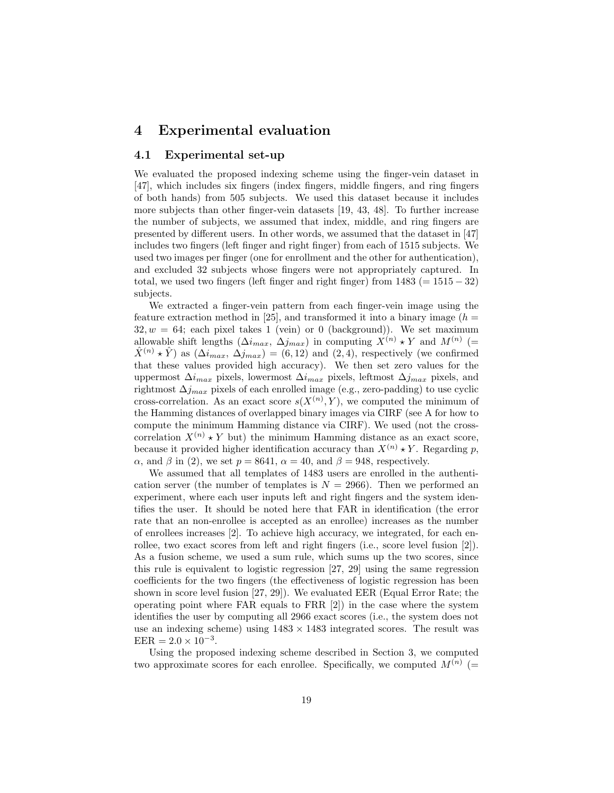### 4 Experimental evaluation

#### 4.1 Experimental set-up

We evaluated the proposed indexing scheme using the finger-vein dataset in [47], which includes six fingers (index fingers, middle fingers, and ring fingers of both hands) from 505 subjects. We used this dataset because it includes more subjects than other finger-vein datasets [19, 43, 48]. To further increase the number of subjects, we assumed that index, middle, and ring fingers are presented by different users. In other words, we assumed that the dataset in [47] includes two fingers (left finger and right finger) from each of 1515 subjects. We used two images per finger (one for enrollment and the other for authentication), and excluded 32 subjects whose fingers were not appropriately captured. In total, we used two fingers (left finger and right finger) from  $1483 (= 1515 - 32)$ subjects.

We extracted a finger-vein pattern from each finger-vein image using the feature extraction method in [25], and transformed it into a binary image  $(h =$  $32, w = 64$ ; each pixel takes 1 (vein) or 0 (background)). We set maximum allowable shift lengths  $(\Delta i_{max}, \Delta j_{max})$  in computing  $X^{(n)} \star Y$  and  $M^{(n)}$  (=  $\hat{X}^{(n)} \star \hat{Y}$  as  $(\Delta i_{max}, \Delta j_{max}) = (6, 12)$  and  $(2, 4)$ , respectively (we confirmed that these values provided high accuracy). We then set zero values for the uppermost  $\Delta i_{max}$  pixels, lowermost  $\Delta i_{max}$  pixels, leftmost  $\Delta j_{max}$  pixels, and rightmost  $\Delta j_{max}$  pixels of each enrolled image (e.g., zero-padding) to use cyclic cross-correlation. As an exact score  $s(X^{(n)}, Y)$ , we computed the minimum of the Hamming distances of overlapped binary images via CIRF (see A for how to compute the minimum Hamming distance via CIRF). We used (not the crosscorrelation  $X^{(n)} \star Y$  but) the minimum Hamming distance as an exact score, because it provided higher identification accuracy than  $X^{(n)} \star Y$ . Regarding p,  $\alpha$ , and  $\beta$  in (2), we set  $p = 8641$ ,  $\alpha = 40$ , and  $\beta = 948$ , respectively.

We assumed that all templates of 1483 users are enrolled in the authentication server (the number of templates is  $N = 2966$ ). Then we performed an experiment, where each user inputs left and right fingers and the system identifies the user. It should be noted here that FAR in identification (the error rate that an non-enrollee is accepted as an enrollee) increases as the number of enrollees increases [2]. To achieve high accuracy, we integrated, for each enrollee, two exact scores from left and right fingers (i.e., score level fusion [2]). As a fusion scheme, we used a sum rule, which sums up the two scores, since this rule is equivalent to logistic regression [27, 29] using the same regression coefficients for the two fingers (the effectiveness of logistic regression has been shown in score level fusion [27, 29]). We evaluated EER (Equal Error Rate; the operating point where FAR equals to FRR [2]) in the case where the system identifies the user by computing all 2966 exact scores (i.e., the system does not use an indexing scheme) using  $1483 \times 1483$  integrated scores. The result was  $EER = 2.0 \times 10^{-3}$ .

Using the proposed indexing scheme described in Section 3, we computed two approximate scores for each enrollee. Specifically, we computed  $M^{(n)}$  (=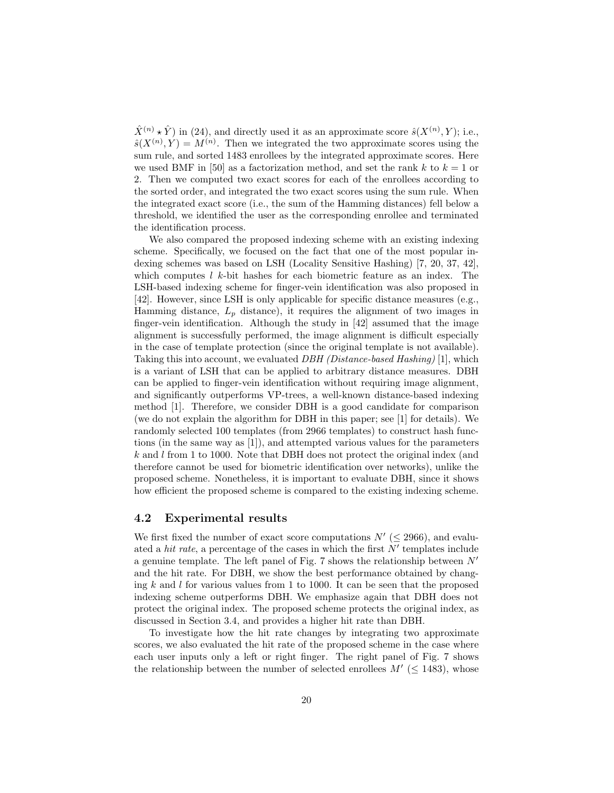$\hat{X}^{(n)} \star \hat{Y}$  in (24), and directly used it as an approximate score  $\hat{s}(X^{(n)}, Y)$ ; i.e.,  $\hat{s}(X^{(n)}, Y) = M^{(n)}$ . Then we integrated the two approximate scores using the sum rule, and sorted 1483 enrollees by the integrated approximate scores. Here we used BMF in [50] as a factorization method, and set the rank k to  $k = 1$  or 2. Then we computed two exact scores for each of the enrollees according to the sorted order, and integrated the two exact scores using the sum rule. When the integrated exact score (i.e., the sum of the Hamming distances) fell below a threshold, we identified the user as the corresponding enrollee and terminated the identification process.

We also compared the proposed indexing scheme with an existing indexing scheme. Specifically, we focused on the fact that one of the most popular indexing schemes was based on LSH (Locality Sensitive Hashing) [7, 20, 37, 42], which computes  $l \, k$ -bit hashes for each biometric feature as an index. The LSH-based indexing scheme for finger-vein identification was also proposed in [42]. However, since LSH is only applicable for specific distance measures (e.g., Hamming distance,  $L_p$  distance), it requires the alignment of two images in finger-vein identification. Although the study in [42] assumed that the image alignment is successfully performed, the image alignment is difficult especially in the case of template protection (since the original template is not available). Taking this into account, we evaluated *DBH (Distance-based Hashing)* [1], which is a variant of LSH that can be applied to arbitrary distance measures. DBH can be applied to finger-vein identification without requiring image alignment, and significantly outperforms VP-trees, a well-known distance-based indexing method [1]. Therefore, we consider DBH is a good candidate for comparison (we do not explain the algorithm for DBH in this paper; see [1] for details). We randomly selected 100 templates (from 2966 templates) to construct hash functions (in the same way as [1]), and attempted various values for the parameters  $k$  and l from 1 to 1000. Note that DBH does not protect the original index (and therefore cannot be used for biometric identification over networks), unlike the proposed scheme. Nonetheless, it is important to evaluate DBH, since it shows how efficient the proposed scheme is compared to the existing indexing scheme.

### 4.2 Experimental results

We first fixed the number of exact score computations  $N'$  ( $\leq$  2966), and evaluated a *hit rate*, a percentage of the cases in which the first  $N'$  templates include a genuine template. The left panel of Fig. 7 shows the relationship between  $N'$ and the hit rate. For DBH, we show the best performance obtained by changing  $k$  and  $l$  for various values from 1 to 1000. It can be seen that the proposed indexing scheme outperforms DBH. We emphasize again that DBH does not protect the original index. The proposed scheme protects the original index, as discussed in Section 3.4, and provides a higher hit rate than DBH.

To investigate how the hit rate changes by integrating two approximate scores, we also evaluated the hit rate of the proposed scheme in the case where each user inputs only a left or right finger. The right panel of Fig. 7 shows the relationship between the number of selected enrollees  $M'$  ( $\leq$  1483), whose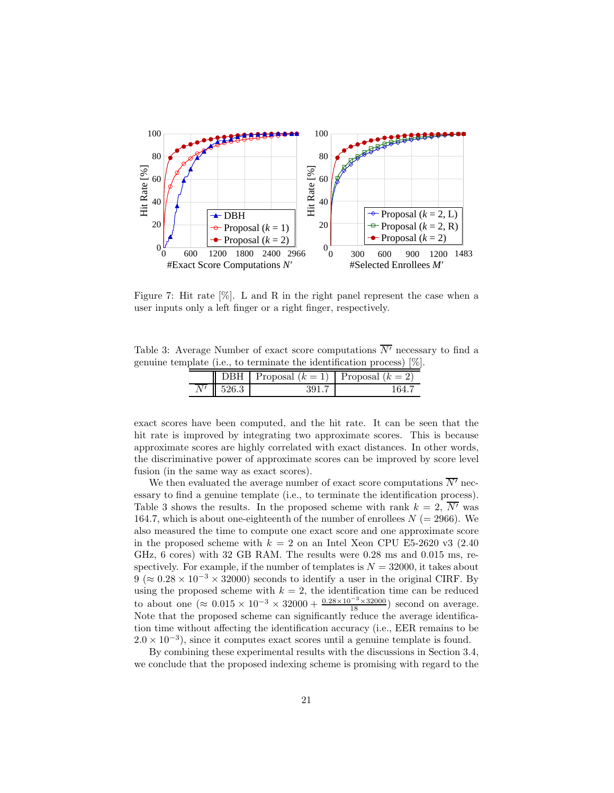

Figure 7: Hit rate [%]. L and R in the right panel represent the case when a user inputs only a left finger or a right finger, respectively.

Table 3: Average Number of exact score computations  $\overline{N'}$  necessary to find a genuine template (i.e., to terminate the identification process) [%].

| 7BH   | Proposal $(k = 1)$ Proposal $(k = 2)$ |  |
|-------|---------------------------------------|--|
| 526.3 |                                       |  |

exact scores have been computed, and the hit rate. It can be seen that the hit rate is improved by integrating two approximate scores. This is because approximate scores are highly correlated with exact distances. In other words, the discriminative power of approximate scores can be improved by score level fusion (in the same way as exact scores).

We then evaluated the average number of exact score computations  $\overline{N'}$  necessary to find a genuine template (i.e., to terminate the identification process). Table 3 shows the results. In the proposed scheme with rank  $k = 2$ ,  $\overline{N'}$  was 164.7, which is about one-eighteenth of the number of enrollees  $N = 2966$ ). We also measured the time to compute one exact score and one approximate score in the proposed scheme with  $k = 2$  on an Intel Xeon CPU E5-2620 v3 (2.40) GHz, 6 cores) with 32 GB RAM. The results were 0.28 ms and 0.015 ms, respectively. For example, if the number of templates is  $N = 32000$ , it takes about  $9 (\approx 0.28 \times 10^{-3} \times 32000)$  seconds to identify a user in the original CIRF. By using the proposed scheme with  $k = 2$ , the identification time can be reduced to about one ( $\approx 0.015 \times 10^{-3} \times 32000 + \frac{0.28 \times 10^{-3} \times 32000}{18}$ ) second on average. Note that the proposed scheme can significantly reduce the average identification time without affecting the identification accuracy (i.e., EER remains to be  $2.0 \times 10^{-3}$ ), since it computes exact scores until a genuine template is found.

By combining these experimental results with the discussions in Section 3.4, we conclude that the proposed indexing scheme is promising with regard to the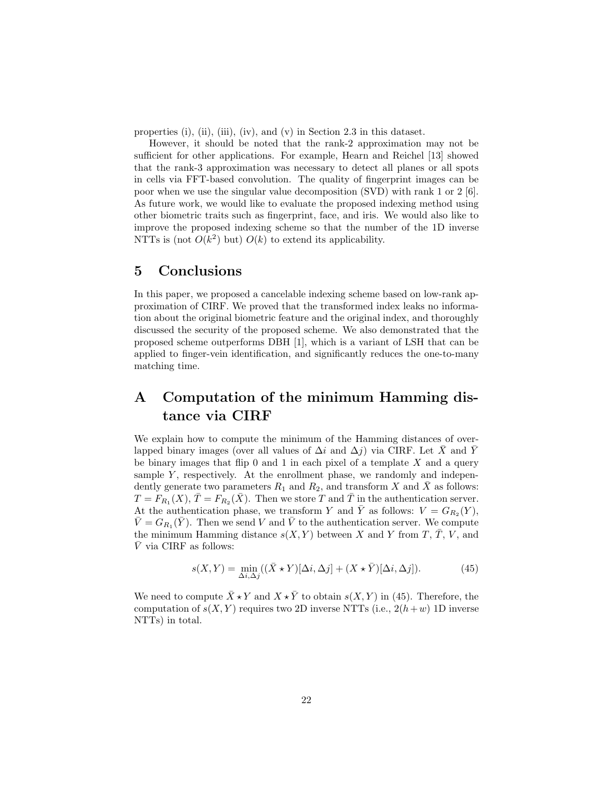properties (i), (ii), (iii), (iv), and (v) in Section 2.3 in this dataset.

However, it should be noted that the rank-2 approximation may not be sufficient for other applications. For example, Hearn and Reichel [13] showed that the rank-3 approximation was necessary to detect all planes or all spots in cells via FFT-based convolution. The quality of fingerprint images can be poor when we use the singular value decomposition (SVD) with rank 1 or 2 [6]. As future work, we would like to evaluate the proposed indexing method using other biometric traits such as fingerprint, face, and iris. We would also like to improve the proposed indexing scheme so that the number of the 1D inverse NTTs is (not  $O(k^2)$  but)  $O(k)$  to extend its applicability.

### 5 Conclusions

In this paper, we proposed a cancelable indexing scheme based on low-rank approximation of CIRF. We proved that the transformed index leaks no information about the original biometric feature and the original index, and thoroughly discussed the security of the proposed scheme. We also demonstrated that the proposed scheme outperforms DBH [1], which is a variant of LSH that can be applied to finger-vein identification, and significantly reduces the one-to-many matching time.

# A Computation of the minimum Hamming distance via CIRF

We explain how to compute the minimum of the Hamming distances of overlapped binary images (over all values of  $\Delta i$  and  $\Delta j$ ) via CIRF. Let  $\bar{X}$  and  $\bar{Y}$ be binary images that flip  $0$  and  $1$  in each pixel of a template  $X$  and a query sample  $Y$ , respectively. At the enrollment phase, we randomly and independently generate two parameters  $R_1$  and  $R_2$ , and transform X and  $\overline{X}$  as follows:  $T = F_{R_1}(X), \bar{T} = F_{R_2}(\bar{X}).$  Then we store T and  $\bar{T}$  in the authentication server. At the authentication phase, we transform Y and  $\overline{Y}$  as follows:  $V = G_{R_2}(Y)$ ,  $\bar{V} = G_{R_1}(\bar{Y})$ . Then we send V and  $\bar{V}$  to the authentication server. We compute the minimum Hamming distance  $s(X, Y)$  between X and Y from T,  $\overline{T}$ , V, and  $\bar{V}$  via CIRF as follows:

$$
s(X,Y) = \min_{\Delta i, \Delta j} ((\bar{X} \star Y)[\Delta i, \Delta j] + (X \star \bar{Y})[\Delta i, \Delta j]).
$$
 (45)

We need to compute  $\bar{X} \star Y$  and  $X \star \bar{Y}$  to obtain  $s(X, Y)$  in (45). Therefore, the computation of  $s(X, Y)$  requires two 2D inverse NTTs (i.e.,  $2(h + w)$  1D inverse NTTs) in total.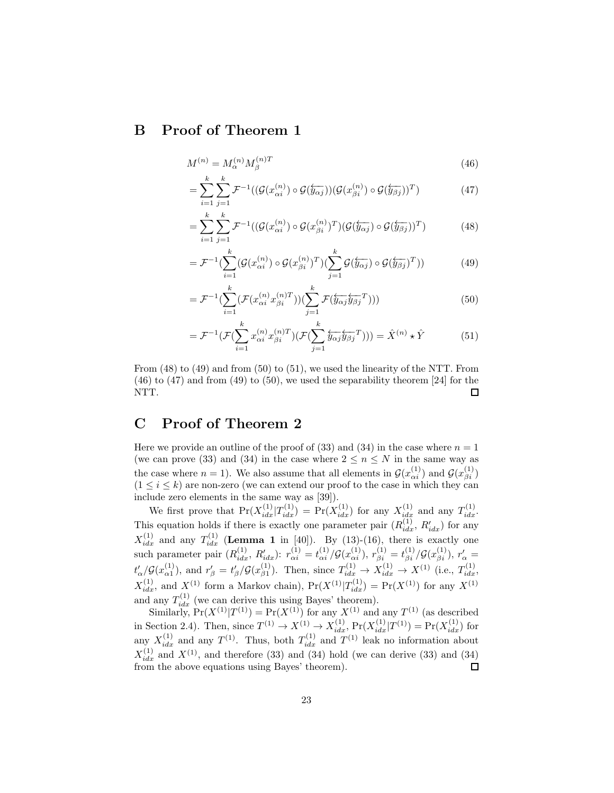### B Proof of Theorem 1

$$
M^{(n)} = M_{\alpha}^{(n)} M_{\beta}^{(n)T} \tag{46}
$$

$$
= \sum_{i=1}^{k} \sum_{j=1}^{k} \mathcal{F}^{-1}((\mathcal{G}(x_{\alpha i}^{(n)}) \circ \mathcal{G}(\overleftarrow{y_{\alpha j}}))(\mathcal{G}(x_{\beta i}^{(n)}) \circ \mathcal{G}(\overleftarrow{y_{\beta j}}))^T) \tag{47}
$$

$$
= \sum_{i=1}^{k} \sum_{j=1}^{k} \mathcal{F}^{-1}((\mathcal{G}(x_{\alpha i}^{(n)}) \circ \mathcal{G}(x_{\beta i}^{(n)})^T)(\mathcal{G}(\overleftarrow{y_{\alpha j}}) \circ \mathcal{G}(\overleftarrow{y_{\beta j}}))^T) \tag{48}
$$

$$
= \mathcal{F}^{-1} \left( \sum_{i=1}^{k} (\mathcal{G}(x_{\alpha i}^{(n)}) \circ \mathcal{G}(x_{\beta i}^{(n)})^T) \left( \sum_{j=1}^{k} \mathcal{G}(\overleftarrow{y_{\alpha j}}) \circ \mathcal{G}(\overleftarrow{y_{\beta j}})^T) \right) \right)
$$
(49)

$$
= \mathcal{F}^{-1} \left( \sum_{i=1}^{k} \left( \mathcal{F}(x_{\alpha i}^{(n)} x_{\beta i}^{(n)T}) \right) \left( \sum_{j=1}^{k} \mathcal{F}(\overleftarrow{y_{\alpha j}} \overleftarrow{y_{\beta j}}^T) \right) \right) \right)
$$
(50)

$$
= \mathcal{F}^{-1}(\mathcal{F}(\sum_{i=1}^{k} x_{\alpha i}^{(n)} x_{\beta i}^{(n)T}) (\mathcal{F}(\sum_{j=1}^{k} \overleftarrow{y_{\alpha j}} \overleftarrow{y_{\beta j}}^T))) = \hat{X}^{(n)} \star \hat{Y}
$$
(51)

From (48) to (49) and from (50) to (51), we used the linearity of the NTT. From  $(46)$  to  $(47)$  and from  $(49)$  to  $(50)$ , we used the separability theorem [24] for the NTT. 口

### C Proof of Theorem 2

Here we provide an outline of the proof of (33) and (34) in the case where  $n = 1$ (we can prove (33) and (34) in the case where  $2 \leq n \leq N$  in the same way as the case where  $n = 1$ ). We also assume that all elements in  $\mathcal{G}(x_{\alpha i}^{(1)})$  and  $\mathcal{G}(x_{\beta i}^{(1)})$  $(1 \leq i \leq k)$  are non-zero (we can extend our proof to the case in which they can include zero elements in the same way as [39]).

We first prove that  $Pr(X_{idx}^{(1)}|T_{idx}^{(1)}) = Pr(X_{idx}^{(1)})$  for any  $X_{idx}^{(1)}$  and any  $T_{idx}^{(1)}$ . This equation holds if there is exactly one parameter pair  $(R_{idx}^{(1)}, R_{idx}')$  for any  $X_{idx}^{(1)}$  and any  $T_{idx}^{(1)}$  (Lemma 1 in [40]). By (13)-(16), there is exactly one such parameter pair  $(R_{idx}^{(1)}, R_{idx}')$ :  $r_{\alpha i}^{(1)} = t_{\alpha i}^{(1)}/\mathcal{G}(x_{\alpha i}^{(1)}), r_{\beta i}^{(1)} = t_{\beta i}^{(1)}/\mathcal{G}(x_{\beta i}^{(1)}), r_{\alpha}' =$  $t'_{\alpha}/\mathcal{G}(x_{\alpha 1}^{(1)})$ , and  $r'_{\beta}=t'_{\beta}/\mathcal{G}(x_{\beta 1}^{(1)})$ . Then, since  $T_{idx}^{(1)} \rightarrow X_{idx}^{(1)} \rightarrow X^{(1)}$  (i.e.,  $T_{idx}^{(1)}$ ,  $X_{idx}^{(1)}$ , and  $X^{(1)}$  form a Markov chain),  $Pr(X^{(1)}|T_{idx}^{(1)}) = Pr(X^{(1)})$  for any  $X^{(1)}$ and any  $T_{idx}^{(1)}$  (we can derive this using Bayes' theorem).

Similarly,  $Pr(X^{(1)}|T^{(1)}) = Pr(X^{(1)})$  for any  $X^{(1)}$  and any  $T^{(1)}$  (as described in Section 2.4). Then, since  $T^{(1)} \to X^{(1)} \to X_{idx}^{(1)}$ ,  $Pr(X_{idx}^{(1)} | T^{(1)}) = Pr(X_{idx}^{(1)})$  for any  $X_{idx}^{(1)}$  and any  $T^{(1)}$ . Thus, both  $T_{idx}^{(1)}$  and  $T^{(1)}$  leak no information about  $X_{idx}^{(1)}$  and  $X^{(1)}$ , and therefore (33) and (34) hold (we can derive (33) and (34) (1) from the above equations using Bayes' theorem).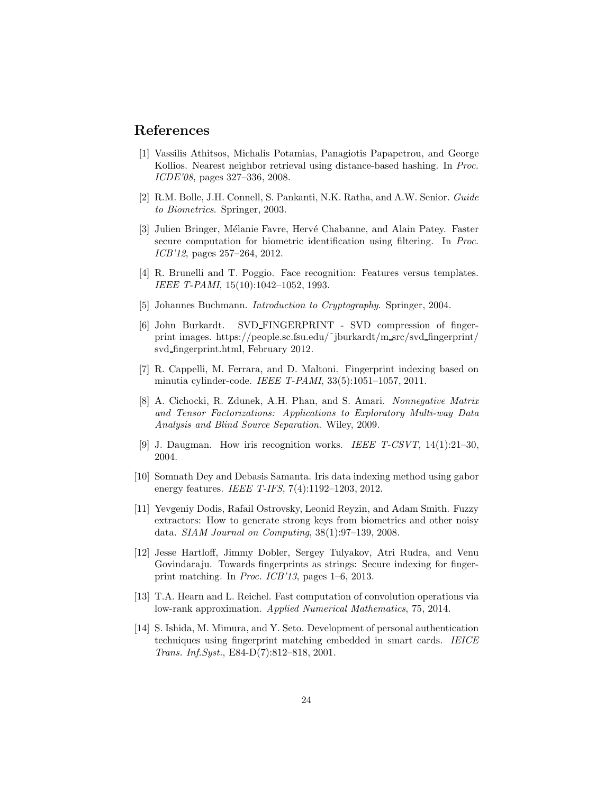### References

- [1] Vassilis Athitsos, Michalis Potamias, Panagiotis Papapetrou, and George Kollios. Nearest neighbor retrieval using distance-based hashing. In *Proc. ICDE'08*, pages 327–336, 2008.
- [2] R.M. Bolle, J.H. Connell, S. Pankanti, N.K. Ratha, and A.W. Senior. *Guide to Biometrics*. Springer, 2003.
- [3] Julien Bringer, Mélanie Favre, Hervé Chabanne, and Alain Patey. Faster secure computation for biometric identification using filtering. In *Proc. ICB'12*, pages 257–264, 2012.
- [4] R. Brunelli and T. Poggio. Face recognition: Features versus templates. *IEEE T-PAMI*, 15(10):1042–1052, 1993.
- [5] Johannes Buchmann. *Introduction to Cryptography*. Springer, 2004.
- [6] John Burkardt. SVD FINGERPRINT SVD compression of fingerprint images. https://people.sc.fsu.edu/˜jburkardt/m src/svd fingerprint/ svd fingerprint.html, February 2012.
- [7] R. Cappelli, M. Ferrara, and D. Maltoni. Fingerprint indexing based on minutia cylinder-code. *IEEE T-PAMI*, 33(5):1051–1057, 2011.
- [8] A. Cichocki, R. Zdunek, A.H. Phan, and S. Amari. *Nonnegative Matrix and Tensor Factorizations: Applications to Exploratory Multi-way Data Analysis and Blind Source Separation*. Wiley, 2009.
- [9] J. Daugman. How iris recognition works. *IEEE T-CSVT*, 14(1):21–30, 2004.
- [10] Somnath Dey and Debasis Samanta. Iris data indexing method using gabor energy features. *IEEE T-IFS*, 7(4):1192–1203, 2012.
- [11] Yevgeniy Dodis, Rafail Ostrovsky, Leonid Reyzin, and Adam Smith. Fuzzy extractors: How to generate strong keys from biometrics and other noisy data. *SIAM Journal on Computing*, 38(1):97–139, 2008.
- [12] Jesse Hartloff, Jimmy Dobler, Sergey Tulyakov, Atri Rudra, and Venu Govindaraju. Towards fingerprints as strings: Secure indexing for fingerprint matching. In *Proc. ICB'13*, pages 1–6, 2013.
- [13] T.A. Hearn and L. Reichel. Fast computation of convolution operations via low-rank approximation. *Applied Numerical Mathematics*, 75, 2014.
- [14] S. Ishida, M. Mimura, and Y. Seto. Development of personal authentication techniques using fingerprint matching embedded in smart cards. *IEICE Trans. Inf.Syst.*, E84-D(7):812–818, 2001.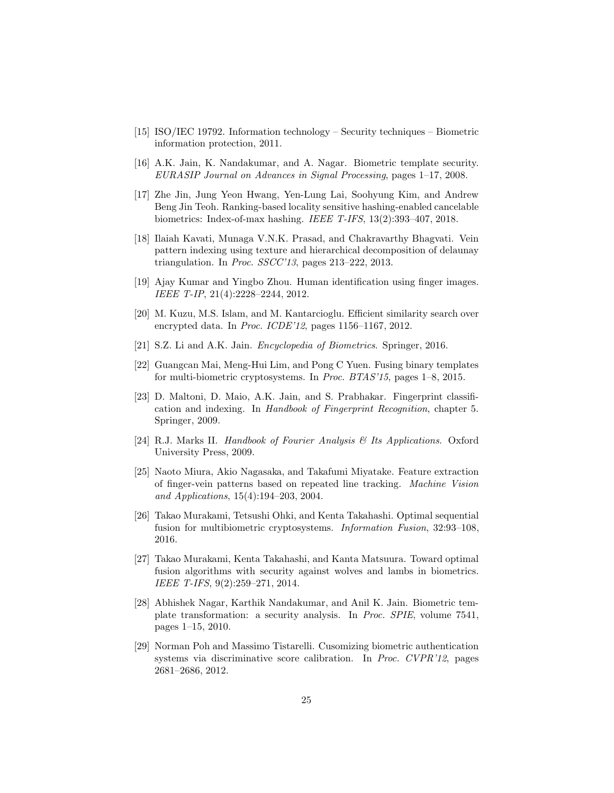- [15] ISO/IEC 19792. Information technology Security techniques Biometric information protection, 2011.
- [16] A.K. Jain, K. Nandakumar, and A. Nagar. Biometric template security. *EURASIP Journal on Advances in Signal Processing*, pages 1–17, 2008.
- [17] Zhe Jin, Jung Yeon Hwang, Yen-Lung Lai, Soohyung Kim, and Andrew Beng Jin Teoh. Ranking-based locality sensitive hashing-enabled cancelable biometrics: Index-of-max hashing. *IEEE T-IFS*, 13(2):393–407, 2018.
- [18] Ilaiah Kavati, Munaga V.N.K. Prasad, and Chakravarthy Bhagvati. Vein pattern indexing using texture and hierarchical decomposition of delaunay triangulation. In *Proc. SSCC'13*, pages 213–222, 2013.
- [19] Ajay Kumar and Yingbo Zhou. Human identification using finger images. *IEEE T-IP*, 21(4):2228–2244, 2012.
- [20] M. Kuzu, M.S. Islam, and M. Kantarcioglu. Efficient similarity search over encrypted data. In *Proc. ICDE'12*, pages 1156–1167, 2012.
- [21] S.Z. Li and A.K. Jain. *Encyclopedia of Biometrics*. Springer, 2016.
- [22] Guangcan Mai, Meng-Hui Lim, and Pong C Yuen. Fusing binary templates for multi-biometric cryptosystems. In *Proc. BTAS'15*, pages 1–8, 2015.
- [23] D. Maltoni, D. Maio, A.K. Jain, and S. Prabhakar. Fingerprint classification and indexing. In *Handbook of Fingerprint Recognition*, chapter 5. Springer, 2009.
- [24] R.J. Marks II. *Handbook of Fourier Analysis & Its Applications*. Oxford University Press, 2009.
- [25] Naoto Miura, Akio Nagasaka, and Takafumi Miyatake. Feature extraction of finger-vein patterns based on repeated line tracking. *Machine Vision and Applications*, 15(4):194–203, 2004.
- [26] Takao Murakami, Tetsushi Ohki, and Kenta Takahashi. Optimal sequential fusion for multibiometric cryptosystems. *Information Fusion*, 32:93–108, 2016.
- [27] Takao Murakami, Kenta Takahashi, and Kanta Matsuura. Toward optimal fusion algorithms with security against wolves and lambs in biometrics. *IEEE T-IFS*, 9(2):259–271, 2014.
- [28] Abhishek Nagar, Karthik Nandakumar, and Anil K. Jain. Biometric template transformation: a security analysis. In *Proc. SPIE*, volume 7541, pages 1–15, 2010.
- [29] Norman Poh and Massimo Tistarelli. Cusomizing biometric authentication systems via discriminative score calibration. In *Proc. CVPR'12*, pages 2681–2686, 2012.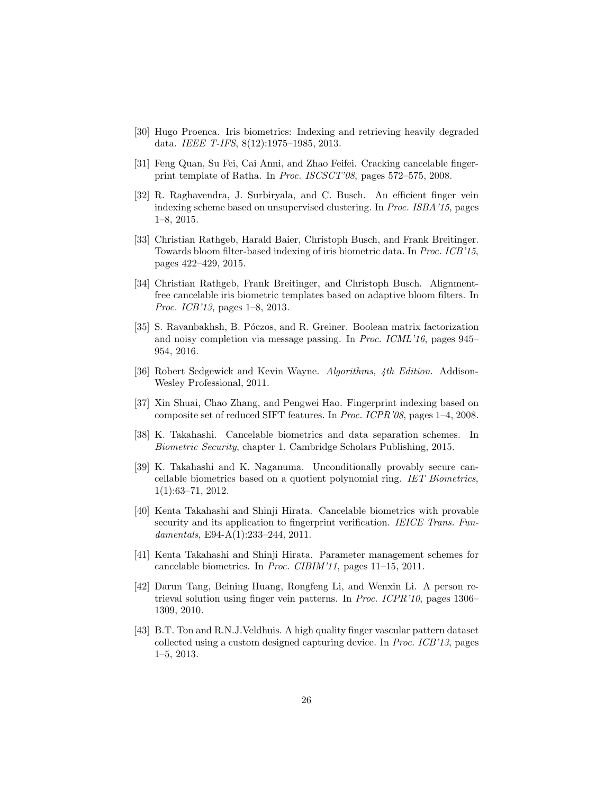- [30] Hugo Proenca. Iris biometrics: Indexing and retrieving heavily degraded data. *IEEE T-IFS*, 8(12):1975–1985, 2013.
- [31] Feng Quan, Su Fei, Cai Anni, and Zhao Feifei. Cracking cancelable fingerprint template of Ratha. In *Proc. ISCSCT'08*, pages 572–575, 2008.
- [32] R. Raghavendra, J. Surbiryala, and C. Busch. An efficient finger vein indexing scheme based on unsupervised clustering. In *Proc. ISBA'15*, pages 1–8, 2015.
- [33] Christian Rathgeb, Harald Baier, Christoph Busch, and Frank Breitinger. Towards bloom filter-based indexing of iris biometric data. In *Proc. ICB'15*, pages 422–429, 2015.
- [34] Christian Rathgeb, Frank Breitinger, and Christoph Busch. Alignmentfree cancelable iris biometric templates based on adaptive bloom filters. In *Proc. ICB'13*, pages 1–8, 2013.
- [35] S. Ravanbakhsh, B. Póczos, and R. Greiner. Boolean matrix factorization and noisy completion via message passing. In *Proc. ICML'16*, pages 945– 954, 2016.
- [36] Robert Sedgewick and Kevin Wayne. *Algorithms, 4th Edition*. Addison-Wesley Professional, 2011.
- [37] Xin Shuai, Chao Zhang, and Pengwei Hao. Fingerprint indexing based on composite set of reduced SIFT features. In *Proc. ICPR'08*, pages 1–4, 2008.
- [38] K. Takahashi. Cancelable biometrics and data separation schemes. In *Biometric Security*, chapter 1. Cambridge Scholars Publishing, 2015.
- [39] K. Takahashi and K. Naganuma. Unconditionally provably secure cancellable biometrics based on a quotient polynomial ring. *IET Biometrics*, 1(1):63–71, 2012.
- [40] Kenta Takahashi and Shinji Hirata. Cancelable biometrics with provable security and its application to fingerprint verification. *IEICE Trans. Fundamentals*, E94-A(1):233–244, 2011.
- [41] Kenta Takahashi and Shinji Hirata. Parameter management schemes for cancelable biometrics. In *Proc. CIBIM'11*, pages 11–15, 2011.
- [42] Darun Tang, Beining Huang, Rongfeng Li, and Wenxin Li. A person retrieval solution using finger vein patterns. In *Proc. ICPR'10*, pages 1306– 1309, 2010.
- [43] B.T. Ton and R.N.J.Veldhuis. A high quality finger vascular pattern dataset collected using a custom designed capturing device. In *Proc. ICB'13*, pages 1–5, 2013.